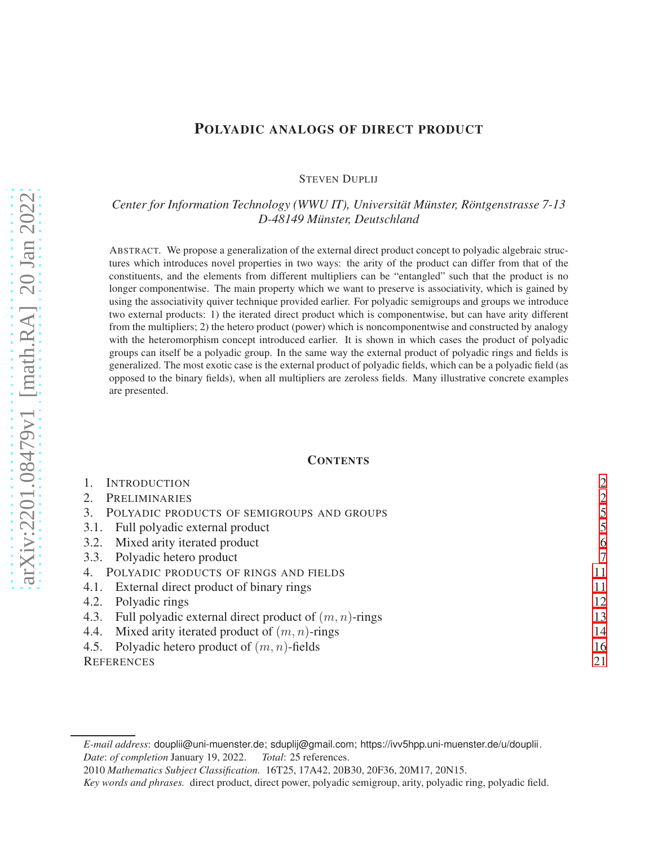# POLYADIC ANALOGS OF DIRECT PRODUCT

STEVEN DUPLIJ

*Center for Information Technology (WWU IT), Universitat M¨ unster, R ¨ ontgenstrasse 7-13 ¨ D-48149 Munster, Deutschland ¨*

ABSTRACT. We propose a generalization of the external direct product concept to polyadic algebraic structures which introduces novel properties in two ways: the arity of the product can differ from that of the constituents, and the elements from different multipliers can be "entangled" such that the product is no longer componentwise. The main property which we want to preserve is associativity, which is gained by using the associativity quiver technique provided earlier. For polyadic semigroups and groups we introduce two external products: 1) the iterated direct product which is componentwise, but can have arity different from the multipliers; 2) the hetero product (power) which is noncomponentwise and constructed by analogy with the heteromorphism concept introduced earlier. It is shown in which cases the product of polyadic groups can itself be a polyadic group. In the same way the external product of polyadic rings and fields is generalized. The most exotic case is the external product of polyadic fields, which can be a polyadic field (as opposed to the binary fields), when all multipliers are zeroless fields. Many illustrative concrete examples are presented.

## **CONTENTS**

| <b>INTRODUCTION</b>                                           | $\overline{2}$ |
|---------------------------------------------------------------|----------------|
| <b>PRELIMINARIES</b>                                          | 2              |
| POLYADIC PRODUCTS OF SEMIGROUPS AND GROUPS<br>3.              |                |
| Full polyadic external product<br>3.1.                        | 5              |
| Mixed arity iterated product<br>3.2.                          | 6              |
| 3.3. Polyadic hetero product                                  | 7              |
| POLYADIC PRODUCTS OF RINGS AND FIELDS                         | 11             |
| 4.1. External direct product of binary rings                  | 11             |
| Polyadic rings<br>4.2.                                        | 12             |
| 4.3. Full polyadic external direct product of $(m, n)$ -rings | 13             |
| 4.4. Mixed arity iterated product of $(m, n)$ -rings          | 14             |
| Polyadic hetero product of $(m, n)$ -fields<br>4.5.           | 16             |
| <b>REFERENCES</b>                                             | 21             |
|                                                               |                |

*E-mail address*: douplii@uni-muenster.de; sduplij@gmail.com; https://ivv5hpp.uni-muenster.de/u/douplii. *Date*: *of completion* January 19, 2022. *Total*: 25 references.

<sup>2010</sup> *Mathematics Subject Classification.* 16T25, 17A42, 20B30, 20F36, 20M17, 20N15.

*Key words and phrases.* direct product, direct power, polyadic semigroup, arity, polyadic ring, polyadic field.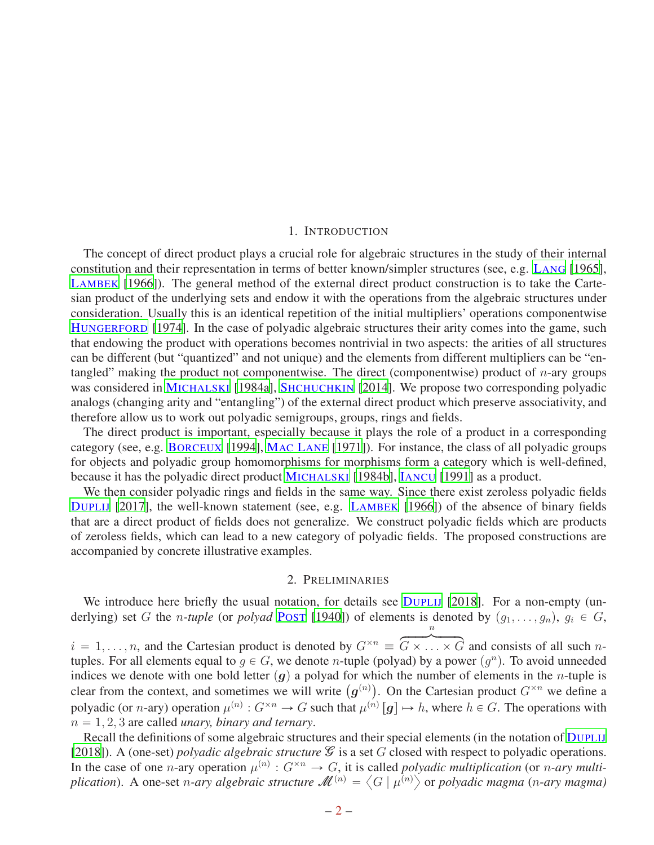#### 1. INTRODUCTION

<span id="page-1-0"></span>The concept of direct product plays a crucial role for algebraic structures in the study of their internal constitution and their representation in terms of better known/simpler structures (see, e.g. L[ANG](#page-20-1) [\[1965](#page-20-1)], L[AMBEK](#page-20-2) [\[1966\]](#page-20-2)). The general method of the external direct product construction is to take the Cartesian product of the underlying sets and endow it with the operations from the algebraic structures under consideration. Usually this is an identical repetition of the initial multipliers' operations componentwise H[UNGERFORD](#page-20-3) [\[1974\]](#page-20-3). In the case of polyadic algebraic structures their arity comes into the game, such that endowing the product with operations becomes nontrivial in two aspects: the arities of all structures can be different (but "quantized" and not unique) and the elements from different multipliers can be "entangled" making the product not componentwise. The direct (componentwise) product of  $n$ -ary groups was considered in M[ICHALSKI](#page-20-4) [\[1984a](#page-20-4)], S[HCHUCHKIN](#page-20-5) [\[2014](#page-20-5)]. We propose two corresponding polyadic analogs (changing arity and "entangling") of the external direct product which preserve associativity, and therefore allow us to work out polyadic semigroups, groups, rings and fields.

The direct product is important, especially because it plays the role of a product in a corresponding category (see, e.g. B[ORCEUX](#page-20-6) [\[1994\]](#page-20-6), MAC L[ANE](#page-20-7) [\[1971\]](#page-20-7)). For instance, the class of all polyadic groups for objects and polyadic group homomorphisms for morphisms form a category which is well-defined, because it has the polyadic direct product M[ICHALSKI](#page-20-8) [\[1984b\]](#page-20-8), I[ANCU](#page-20-9) [\[1991\]](#page-20-9) as a product.

We then consider polyadic rings and fields in the same way. Since there exist zeroless polyadic fields D[UPLIJ](#page-20-10) [\[2017\]](#page-20-10), the well-known statement (see, e.g. L[AMBEK](#page-20-2) [\[1966\]](#page-20-2)) of the absence of binary fields that are a direct product of fields does not generalize. We construct polyadic fields which are products of zeroless fields, which can lead to a new category of polyadic fields. The proposed constructions are accompanied by concrete illustrative examples.

## 2. PRELIMINARIES

<span id="page-1-1"></span>We introduce here briefly the usual notation, for details see D[UPLIJ](#page-20-11) [\[2018\]](#page-20-11). For a non-empty (underlying) set G the *n*-tuple (or polyad P[OST](#page-20-12) [\[1940](#page-20-12)]) of elements is denoted by  $(g_1, \ldots, g_n)$ ,  $g_i \in G$ ,

 $i = 1, \ldots, n$ , and the Cartesian product is denoted by  $G^{\times n}$  $\overbrace{a}^{n}$  $G \times \ldots \times G$  and consists of all such ntuples. For all elements equal to  $g \in G$ , we denote *n*-tuple (polyad) by a power  $(g^n)$ . To avoid unneeded indices we denote with one bold letter  $(g)$  a polyad for which the number of elements in the n-tuple is clear from the context, and sometimes we will write  $(g^{(n)})$ . On the Cartesian product  $G^{\times n}$  we define a polyadic (or *n*-ary) operation  $\mu^{(n)}$ :  $G^{\times n} \to G$  such that  $\mu^{(n)}[g] \mapsto h$ , where  $h \in G$ . The operations with  $n = 1, 2, 3$  are called *unary, binary and ternary*.

Recall the definitions of some algebraic structures and their special elements (in the notation of D[UPLIJ](#page-20-11) [\[2018](#page-20-11)]). A (one-set) *polyadic algebraic structure*  $\mathcal G$  is a set G closed with respect to polyadic operations. In the case of one *n*-ary operation  $\mu^{(n)}$ :  $G^{\times n} \to G$ , it is called *polyadic multiplication* (or *n-ary multi*plication). A one-set *n-ary algebraic structure*  $\mathcal{M}^{(n)} = \left\langle G \mid \mu^{(n)} \right\rangle$  or *polyadic magma* (*n-ary magma*)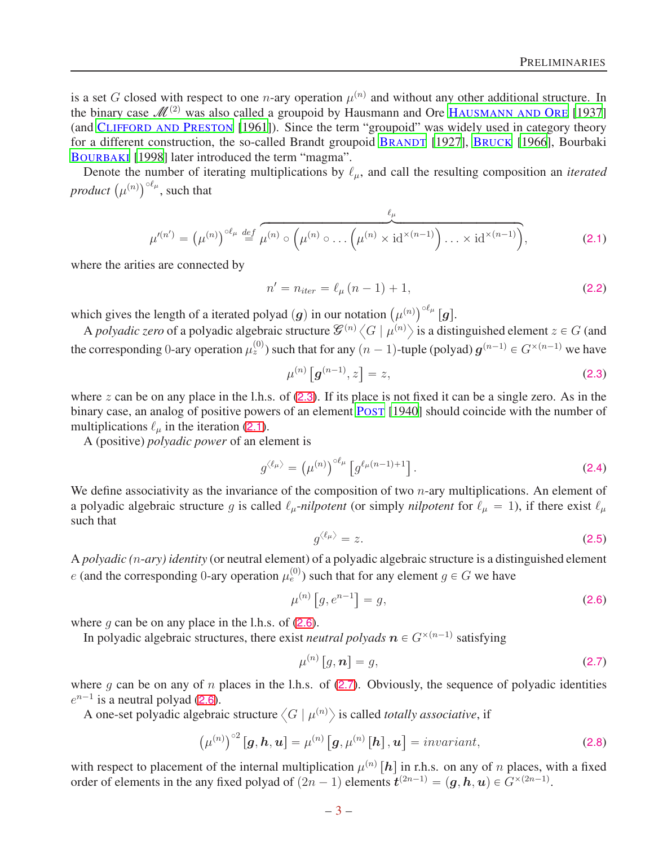is a set G closed with respect to one *n*-ary operation  $\mu^{(n)}$  and without any other additional structure. In the binary case  $\mathcal{M}^{(2)}$  was also called a groupoid by Hausmann and Ore HAUSMANN AND ORE [1937] (and CLIFFORD AND PRESTON [1961]). Since the term "groupoid" was widely used in category theory for a different construction, the so-called Brandt groupoid B[RANDT](#page-20-13) [\[1927\]](#page-20-13), B[RUCK](#page-20-14) [\[1966](#page-20-14)], Bourbaki B[OURBAKI](#page-20-15) [\[1998](#page-20-15)] later introduced the term "magma".

Denote the number of iterating multiplications by  $\ell_{\mu}$ , and call the resulting composition an *iterated product*  $(\mu^{(n)})^{\circ \ell_\mu}$ , such that

<span id="page-2-1"></span>
$$
\mu'^{(n')} = (\mu^{(n)})^{\circ \ell_{\mu}} \stackrel{\text{def}}{=} \overbrace{\mu^{(n)} \circ \left(\mu^{(n)} \circ \ldots \left(\mu^{(n)} \times \mathrm{id}^{\times (n-1)}\right) \ldots \times \mathrm{id}^{\times (n-1)}\right)}^{ \ell_{\mu}},\tag{2.1}
$$

where the arities are connected by

<span id="page-2-5"></span>
$$
n' = n_{iter} = \ell_{\mu} (n - 1) + 1,
$$
\n(2.2)

which gives the length of a iterated polyad  $(g)$  in our notation  $(\mu^{(n)})^{\circ \ell_\mu} [g]$ .

A *polyadic zero* of a polyadic algebraic structure  $\mathcal{G}^{(n)}(G | \mu^{(n)})$  is a distinguished element  $z \in G$  (and the corresponding 0-ary operation  $\mu_z^{(0)}$ ) such that for any  $(n-1)$ -tuple (polyad)  $g^{(n-1)} \in G^{\times (n-1)}$  we have

<span id="page-2-0"></span>
$$
\mu^{(n)}\left[g^{(n-1)},z\right] = z,\tag{2.3}
$$

where z can be on any place in the l.h.s. of  $(2.3)$  $(2.3)$  $(2.3)$ . If its place is not fixed it can be a single zero. As in the binary case, an analog of positive powers of an element P[OST](#page-20-12) [\[1940\]](#page-20-12) should coincide with the number of multiplications  $\ell_{\mu}$  in the iteration ([2.1](#page-2-1)).

A (positive) *polyadic power* of an element is

$$
g^{\langle \ell_{\mu} \rangle} = \left(\mu^{(n)}\right)^{\circ \ell_{\mu}} \left[g^{\ell_{\mu}(n-1)+1}\right]. \tag{2.4}
$$

We define associativity as the invariance of the composition of two  $n$ -ary multiplications. An element of a polyadic algebraic structure g is called  $\ell_\mu$ -*nilpotent* (or simply *nilpotent* for  $\ell_\mu = 1$ ), if there exist  $\ell_\mu$ such that

$$
g^{\langle \ell_{\mu} \rangle} = z. \tag{2.5}
$$

A *polyadic (*n-*ary) identity* (or neutral element) of a polyadic algebraic structure is a distinguished element e (and the corresponding 0-ary operation  $\mu_e^{(0)}$ ) such that for any element  $g \in G$  we have

<span id="page-2-2"></span>
$$
\mu^{(n)}\left[g, e^{n-1}\right] = g,\tag{2.6}
$$

where q can be on any place in the l.h.s. of  $(2.6)$  $(2.6)$  $(2.6)$ .

In polyadic algebraic structures, there exist *neutral polyads*  $n \in G^{\times (n-1)}$  satisfying

<span id="page-2-3"></span>
$$
\mu^{(n)}\left[g,\mathbf{n}\right] = g,\tag{2.7}
$$

where g can be on any of n places in the l.h.s. of  $(2.7)$  $(2.7)$  $(2.7)$ . Obviously, the sequence of polyadic identities  $e^{n-1}$  is a neutral polyad ([2.6](#page-2-2)).

A one-set polyadic algebraic structure  $\langle G | \mu^{(n)} \rangle$  is called *totally associative*, if

<span id="page-2-4"></span>
$$
\left(\mu^{(n)}\right)^{\circ 2}\left[\mathbf{g},\mathbf{h},\mathbf{u}\right]=\mu^{(n)}\left[\mathbf{g},\mu^{(n)}\left[\mathbf{h}\right],\mathbf{u}\right]=invariant,\tag{2.8}
$$

with respect to placement of the internal multiplication  $\mu^{(n)}[h]$  in r.h.s. on any of n places, with a fixed order of elements in the any fixed polyad of  $(2n - 1)$  elements  $\mathbf{t}^{(2n-1)} = (\mathbf{g}, \mathbf{h}, \mathbf{u}) \in G^{\times (2n-1)}$ .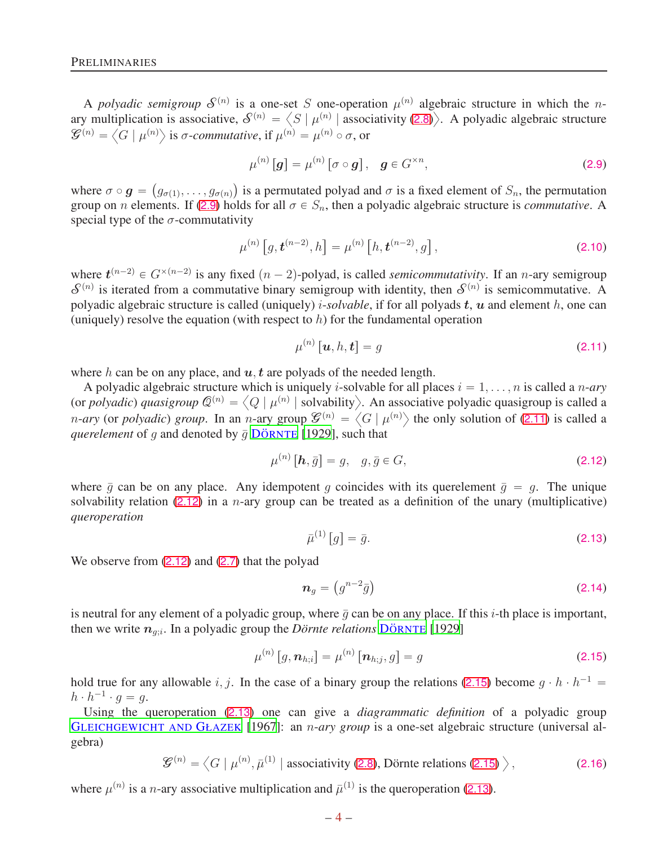A *polyadic semigroup*  $S^{(n)}$  is a one-set S one-operation  $\mu^{(n)}$  algebraic structure in which the *n*ary multiplication is associative,  $S^{(n)} = \langle S | \mu^{(n)} \rangle$  associativity ([2.8](#page-2-4))). A polyadic algebraic structure  $\mathcal{G}^{(n)} = \langle G | \mu^{(n)} \rangle$  is  $\sigma$ -*commutative*, if  $\mu^{(n)} = \mu^{(n)} \circ \sigma$ , or

<span id="page-3-0"></span>
$$
\mu^{(n)}\left[\mathbf{g}\right] = \mu^{(n)}\left[\sigma \circ \mathbf{g}\right], \quad \mathbf{g} \in G^{\times n},\tag{2.9}
$$

where  $\sigma \circ g = (g_{\sigma(1)}, \ldots, g_{\sigma(n)})$  is a permutated polyad and  $\sigma$  is a fixed element of  $S_n$ , the permutation group on *n* elements. If ([2.9](#page-3-0)) holds for all  $\sigma \in S_n$ , then a polyadic algebraic structure is *commutative*. A special type of the  $\sigma$ -commutativity

<span id="page-3-5"></span>
$$
\mu^{(n)}\left[g, \mathbf{t}^{(n-2)}, h\right] = \mu^{(n)}\left[h, \mathbf{t}^{(n-2)}, g\right],\tag{2.10}
$$

where  $t^{(n-2)} \in G^{\times (n-2)}$  is any fixed  $(n-2)$ -polyad, is called *semicommutativity*. If an n-ary semigroup  $S^{(n)}$  is iterated from a commutative binary semigroup with identity, then  $S^{(n)}$  is semicommutative. A polyadic algebraic structure is called (uniquely) *i-solvable*, if for all polyads  $t$ ,  $u$  and element  $h$ , one can (uniquely) resolve the equation (with respect to  $h$ ) for the fundamental operation

<span id="page-3-1"></span>
$$
\mu^{(n)}\left[\mathbf{u},h,\mathbf{t}\right]=g\tag{2.11}
$$

where h can be on any place, and  $u, t$  are polyads of the needed length.

A polyadic algebraic structure which is uniquely *i*-solvable for all places  $i = 1, \ldots, n$  is called a *n-ary* (or *polyadic*) *quasigroup*  $\mathcal{Q}^{(n)} = \langle Q | \mu^{(n)} |$  solvability). An associative polyadic quasigroup is called a *n-ary* (or *polyadic*) *group*. In an *n*-ary group  $\mathcal{G}^{(n)} = \langle G | \mu^{(n)} \rangle$  the only solution of ([2.11](#page-3-1)) is called a *querelement* of g and denoted by  $\bar{g}$  DÖRNTE [\[1929](#page-20-16)], such that

<span id="page-3-2"></span>
$$
\mu^{(n)}\left[\boldsymbol{h},\bar{g}\right] = g, \quad g,\bar{g} \in G,\tag{2.12}
$$

where  $\bar{q}$  can be on any place. Any idempotent q coincides with its querelement  $\bar{q} = q$ . The unique solvability relation ([2.12](#page-3-2)) in a *n*-ary group can be treated as a definition of the unary (multiplicative) *queroperation*

<span id="page-3-4"></span>
$$
\bar{\mu}^{(1)}\left[g\right] = \bar{g}.\tag{2.13}
$$

We observe from  $(2.12)$  $(2.12)$  $(2.12)$  and  $(2.7)$  $(2.7)$  $(2.7)$  that the polyad

<span id="page-3-7"></span>
$$
\boldsymbol{n}_g = \left(g^{n-2}\bar{g}\right) \tag{2.14}
$$

is neutral for any element of a polyadic group, where  $\bar{g}$  can be on any place. If this *i*-th place is important, then we write  $n_{g,i}$ . In a polyadic group the *Dörnte relations* DÖRNTE [\[1929](#page-20-16)]

<span id="page-3-3"></span>
$$
\mu^{(n)}[g, n_{h;i}] = \mu^{(n)}[n_{h;j}, g] = g \tag{2.15}
$$

hold true for any allowable i, j. In the case of a binary group the relations ([2.15](#page-3-3)) become  $g \cdot h \cdot h^{-1} =$  $h \cdot h^{-1} \cdot g = g.$ 

Using the queroperation ([2.13](#page-3-4)) one can give a *diagrammatic definition* of a polyadic group GLEICHGEWICHT AND GŁAZEK [1967]: an n-*ary group* is a one-set algebraic structure (universal algebra)

> <span id="page-3-6"></span> $\mathcal{G}^{(n)} = \left\langle G \mid \mu^{(n)}, \bar{\mu}^{(1)} \mid \text{associativity (2.8), Dörnte relations (2.15)} \right\rangle$  $\mathcal{G}^{(n)} = \left\langle G \mid \mu^{(n)}, \bar{\mu}^{(1)} \mid \text{associativity (2.8), Dörnte relations (2.15)} \right\rangle$  $\mathcal{G}^{(n)} = \left\langle G \mid \mu^{(n)}, \bar{\mu}^{(1)} \mid \text{associativity (2.8), Dörnte relations (2.15)} \right\rangle$  $\mathcal{G}^{(n)} = \left\langle G \mid \mu^{(n)}, \bar{\mu}^{(1)} \mid \text{associativity (2.8), Dörnte relations (2.15)} \right\rangle$  $\mathcal{G}^{(n)} = \left\langle G \mid \mu^{(n)}, \bar{\mu}^{(1)} \mid \text{associativity (2.8), Dörnte relations (2.15)} \right\rangle$  $(2.16)$

where  $\mu^{(n)}$  is a *n*-ary associative multiplication and  $\bar{\mu}^{(1)}$  is the queroperation ([2.13](#page-3-4)).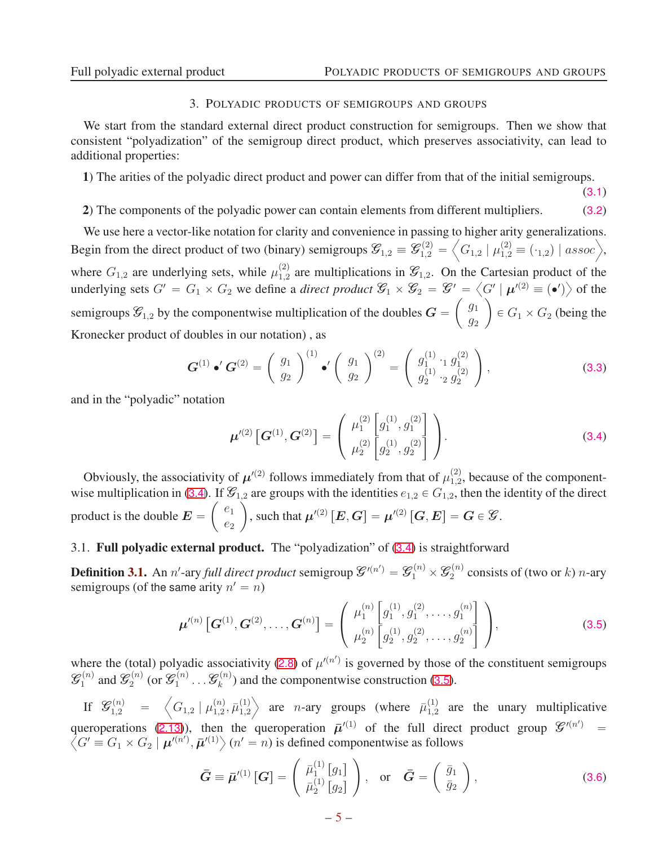$(3.1)$ 

#### 3. POLYADIC PRODUCTS OF SEMIGROUPS AND GROUPS

<span id="page-4-0"></span>We start from the standard external direct product construction for semigroups. Then we show that consistent "polyadization" of the semigroup direct product, which preserves associativity, can lead to additional properties:

1) The arities of the polyadic direct product and power can differ from that of the initial semigroups.

## 2) The components of the polyadic power can contain elements from different multipliers. (3.2)

We use here a vector-like notation for clarity and convenience in passing to higher arity generalizations. Begin from the direct product of two (binary) semigroups  $\mathcal{G}_{1,2} \equiv \mathcal{G}_{1,2}^{(2)} =$  $\Big\langle G_{1,2} \mid \mu_{1,2}^{(2)} \equiv (\cdot_{1,2}) \mid assoc \Big\rangle,$ where  $G_{1,2}$  are underlying sets, while  $\mu_{1,2}^{(2)}$  $1,2$  are multiplications in  $\mathcal{G}_{1,2}$ . On the Cartesian product of the underlying sets  $G' = G_1 \times G_2$  we define a *direct product*  $\mathcal{G}_1 \times \mathcal{G}_2 = \mathcal{G}' = \langle G' | \mu^{(2)} \equiv (\bullet') \rangle$  of the semigroups  $\mathcal{G}_{1,2}$  by the componentwise multiplication of the doubles  $G = \begin{pmatrix} g_1 \\ g_2 \end{pmatrix}$  $\overline{g}_2$ ˙  $\in G_1 \times G_2$  (being the Kronecker product of doubles in our notation) , as

<span id="page-4-4"></span>
$$
\boldsymbol{G}^{(1)} \bullet' \boldsymbol{G}^{(2)} = \left(\begin{array}{c} g_1 \\ g_2 \end{array}\right)^{(1)} \bullet' \left(\begin{array}{c} g_1 \\ g_2 \end{array}\right)^{(2)} = \left(\begin{array}{c} g_1^{(1)} \cdot_1 g_1^{(2)} \\ g_2^{(1)} \cdot_2 g_2^{(2)} \end{array}\right), \tag{3.3}
$$

and in the "polyadic" notation

<span id="page-4-2"></span>
$$
\boldsymbol{\mu}'^{(2)}\left[\boldsymbol{G}^{(1)},\boldsymbol{G}^{(2)}\right] = \begin{pmatrix} \mu_1^{(2)}\left[g_1^{(1)},g_1^{(2)}\right] \\ \mu_2^{(2)}\left[g_2^{(1)},g_2^{(2)}\right] \end{pmatrix}.
$$
 (3.4)

Obviously, the associativity of  $\mu'^{(2)}$  follows immediately from that of  $\mu_{1,2}^{(2)}$  $_{1,2}^{(2)}$ , because of the component-wise multiplication in ([3.4](#page-4-2)). If  $\mathcal{G}_{1,2}$  are groups with the identities  $e_{1,2} \in G_{1,2}$ , then the identity of the direct product is the double  $E =$  $\left( \begin{array}{c} e_1 \\ e_2 \end{array} \right)$  $e_2$ ˙ , such that  $\mu'^{(2)}\left[{\bm E},{\bm G}\right]=\mu'^{(2)}\left[{\bm G},{\bm E}\right]={\bm G}\in{\bm {\mathcal G}}$ .

### <span id="page-4-1"></span>3.1. Full polyadic external product. The "polyadization" of ([3.4](#page-4-2)) is straightforward

**Definition 3.1.** An *n'*-ary *full direct product* semigroup  $\mathcal{G}'^{(n')} = \mathcal{G}_1^{(n)} \times \mathcal{G}_2^{(n)}$  $2^{(n)}$  consists of (two or k) *n*-ary semigroups (of the same arity  $n' = n$ )

<span id="page-4-3"></span>
$$
\boldsymbol{\mu}^{\prime(n)}\left[\boldsymbol{G}^{(1)},\boldsymbol{G}^{(2)},\ldots,\boldsymbol{G}^{(n)}\right]=\left(\begin{array}{c} \mu_1^{(n)}\left[g_1^{(1)},g_1^{(2)},\ldots,g_1^{(n)}\right] \\ \mu_2^{(n)}\left[g_2^{(1)},g_2^{(2)},\ldots,g_2^{(n)}\right] \end{array}\right),\tag{3.5}
$$

where the (total) polyadic associativity ([2.8](#page-2-4)) of  $\mu'^{(n')}$  is governed by those of the constituent semigroups  $\mathscr{G}_1^{(n)}$  $\mathcal{G}_1^{(n)}$  and  $\mathcal{G}_2^{(n)}$  $\mathscr{L}_2^{(n)}$  (or  $\mathscr{G}^{(n)}_1$  $\mathscr{G}_1^{(n)}\ldots\mathscr{G}_k^{(n)}$  $k_k^{(n)}$ ) and the componentwise construction ([3.5](#page-4-3)).

If  $\mathcal{G}_{1,2}^{(n)}$  =  $\left\langle G_{1,2} \mid \mu_{1,2}^{(n)} \right\rangle$  $\bar{n}_{1,2}^{(n)}, \bar{\mu}_{1,2}^{(1)}$ 1,2 are *n*-ary groups (where  $\bar{\mu}_{1,2}^{(1)}$  $_{1,2}^{(1)}$  are the unary multiplicative queroperations ([2.13](#page-3-4))), then the queroperation  $\bar{\mu}'^{(1)}$  of the full direct product group  $\mathcal{G}^{(n)}$ queroperations (2.13)), then the queroperation  $\bar{\mu}'^{(1)}$  of the full direct product group  $\mathcal{G}'^{(n')} = \langle G' \equiv G_1 \times G_2 | \mu'^{(n')} \cdot \bar{\mu}'^{(1)} \rangle$  ( $n' = n$ ) is defined componentwise as follows  $G' \equiv G_1 \times G_2 \mid \mu'^{(n')}$ ,  $\bar{\mu}'^{(1)} \rangle$   $(n' = n)$  is defined componentwise as follows

<span id="page-4-5"></span>
$$
\bar{G} \equiv \bar{\mu}'^{(1)} \left[ G \right] = \begin{pmatrix} \bar{\mu}_1^{(1)} \left[ g_1 \right] \\ \bar{\mu}_2^{(1)} \left[ g_2 \right] \end{pmatrix}, \quad \text{or} \quad \bar{G} = \begin{pmatrix} \bar{g}_1 \\ \bar{g}_2 \end{pmatrix}, \tag{3.6}
$$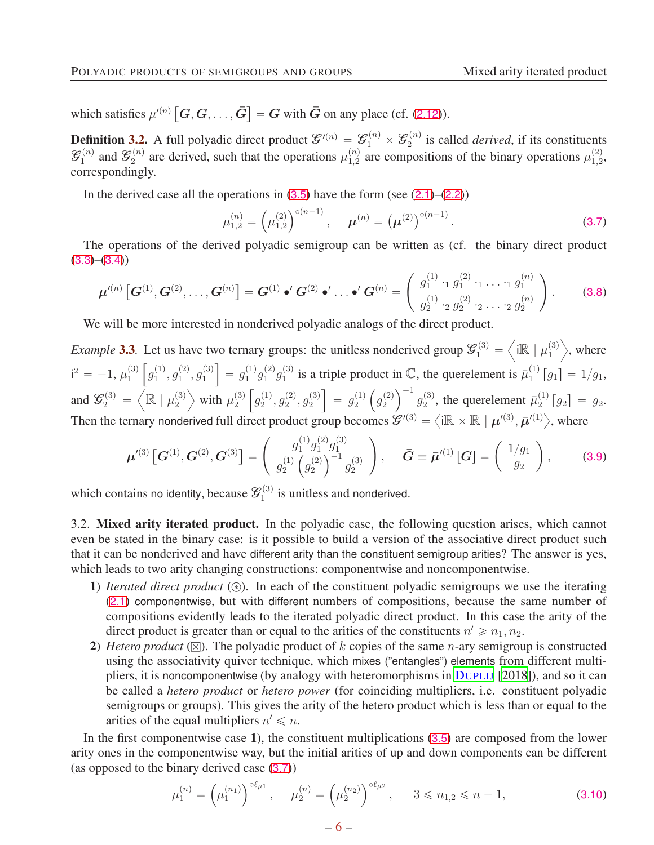which satisfies  $\mu'^{(n)}\left[G, G, \ldots, \bar{G}\right] = G$  with  $\bar{G}$  on any place (cf. ([2.12](#page-3-2))).

**Definition 3.2.** A full polyadic direct product  $\mathcal{G}^{(n)} = \mathcal{G}_1^{(n)} \times \mathcal{G}_2^{(n)}$  $e_2^{(n)}$  is called *derived*, if its constituents  $\mathscr{G}_1^{(n)}$  $\mathscr{G}_1^{(n)}$  and  $\mathscr{G}_2^{(n)}$  $\mu_2^{(n)}$  are derived, such that the operations  $\mu_{1,2}^{(n)}$  $\chi_{1,2}^{(n)}$  are compositions of the binary operations  $\mu_{1,2}^{(2)}$  $_{1,2}^{(2)}$ correspondingly.

In the derived case all the operations in  $(3.5)$  $(3.5)$  $(3.5)$  have the form (see  $(2.1)$  $(2.1)$  $(2.1)$ – $(2.2)$  $(2.2)$  $(2.2)$ )

<span id="page-5-1"></span>
$$
\mu_{1,2}^{(n)} = \left(\mu_{1,2}^{(2)}\right)^{\circ(n-1)}, \quad \mu^{(n)} = \left(\mu^{(2)}\right)^{\circ(n-1)}.
$$
\n(3.7)

The operations of the derived polyadic semigroup can be written as (cf. the binary direct product  $(3.3)–(3.4)$  $(3.3)–(3.4)$  $(3.3)–(3.4)$  $(3.3)–(3.4)$  $(3.3)–(3.4)$ 

$$
\boldsymbol{\mu}'^{(n)}\left[\boldsymbol{G}^{(1)},\boldsymbol{G}^{(2)},\ldots,\boldsymbol{G}^{(n)}\right]=\boldsymbol{G}^{(1)}\bullet'\boldsymbol{G}^{(2)}\bullet'\ldots\bullet'\boldsymbol{G}^{(n)}=\left(\begin{array}{c}g_1^{(1)}\cdot_1g_1^{(2)}\cdot_1\ldots\cdot_1g_1^{(n)}\\g_2^{(1)}\cdot_2g_2^{(2)}\cdot_2\ldots\cdot_2g_2^{(n)}\end{array}\right).
$$
(3.8)

We will be more interested in nonderived polyadic analogs of the direct product.

*Example* 3.3. Let us have two ternary groups: the unitless nonderived group  $\mathcal{G}_1^{(3)}$  =  $\Bigl\langle i{\mathbb R} \mid \mu_1^{(3)}$ 1  $\rangle$ , where  $i^2 = -1, \mu_1^{(3)}$ 1  $\int g_1^{(1)}$  $\binom{1}{1}, g_1^{(2)}$  $\binom{2}{1}, g_1^{(3)}$ 1  $= g_1^{(1)}$  $j_1^{(1)}g_1^{(2)}$  $j_1^{(2)}g_1^{(3)}$  $\mathbf{I}_1^{(3)}$  is a triple product in  $\mathbb{C}$ , the querelement is  $\bar{\mu}_1^{(1)}$  $_{1}^{(1)}[g_{1}]=1/g_{1},$ and  $\mathcal{G}_2^{(3)}$  =  $\left\langle \mathbb{R} \mid \mu_2^{(3)} \right\rangle$ 2  $\rangle$  with  $\mu_2^{(3)}$ 2  $\int g_2^{(1)}$  $\binom{1}{2}, g_2^{(2)}$  $\overset{(2)}{2},\overset{(3)}{g_2^{\left( 3 \right)}}$ 2  $\Big] = g_2^{(1)}$ 2  $\left( g_2^{(2)} \right)$ 2  $\bigg)^{-1} g_2^{(3)}$  $\bar{p}_2^{(3)}$ , the querelement  $\bar{p}_2^{(1)}$  $\binom{1}{2}$   $[g_2] = g_2.$ Then the ternary nonderived full direct product group becomes  $\mathcal{L}^{(3)} = \langle i\mathbb{R} \times \mathbb{R} | \mu^{(3)}, \bar{\mu}^{(1)} \rangle$ , where

$$
\boldsymbol{\mu}'^{(3)}\left[\boldsymbol{G}^{(1)},\boldsymbol{G}^{(2)},\boldsymbol{G}^{(3)}\right] = \begin{pmatrix} g_1^{(1)}g_1^{(2)}g_1^{(3)} \\ g_2^{(1)}\left(g_2^{(2)}\right)^{-1}g_2^{(3)} \end{pmatrix}, \quad \bar{\boldsymbol{G}} \equiv \bar{\boldsymbol{\mu}}'^{(1)}\left[\boldsymbol{G}\right] = \begin{pmatrix} 1/g_1 \\ g_2 \end{pmatrix}, \tag{3.9}
$$

which contains no identity, because  $\mathcal{G}_1^{(3)}$  $i_1^{(3)}$  is unitless and nonderived.

<span id="page-5-0"></span>3.2. Mixed arity iterated product. In the polyadic case, the following question arises, which cannot even be stated in the binary case: is it possible to build a version of the associative direct product such that it can be nonderived and have different arity than the constituent semigroup arities? The answer is yes, which leads to two arity changing constructions: componentwise and noncomponentwise.

- 1) *Iterated direct product*  $(\circledast)$ . In each of the constituent polyadic semigroups we use the iterating ([2.1](#page-2-1)) componentwise, but with different numbers of compositions, because the same number of compositions evidently leads to the iterated polyadic direct product. In this case the arity of the direct product is greater than or equal to the arities of the constituents  $n' \ge n_1, n_2$ .
- 2) *Hetero product* ( $\boxtimes$ ). The polyadic product of k copies of the same *n*-ary semigroup is constructed using the associativity quiver technique, which mixes ("entangles") elements from different multipliers, it is noncomponentwise (by analogy with heteromorphisms in D[UPLIJ](#page-20-11) [\[2018](#page-20-11)]), and so it can be called a *hetero product* or *hetero power* (for coinciding multipliers, i.e. constituent polyadic semigroups or groups). This gives the arity of the hetero product which is less than or equal to the arities of the equal multipliers  $n' \leq n$ .

In the first componentwise case 1), the constituent multiplications ([3.5](#page-4-3)) are composed from the lower arity ones in the componentwise way, but the initial arities of up and down components can be different (as opposed to the binary derived case ([3.7](#page-5-1)))

$$
\mu_1^{(n)} = \left(\mu_1^{(n_1)}\right)^{\circ \ell_{\mu 1}}, \quad \mu_2^{(n)} = \left(\mu_2^{(n_2)}\right)^{\circ \ell_{\mu 2}}, \quad 3 \le n_{1,2} \le n-1,
$$
\n(3.10)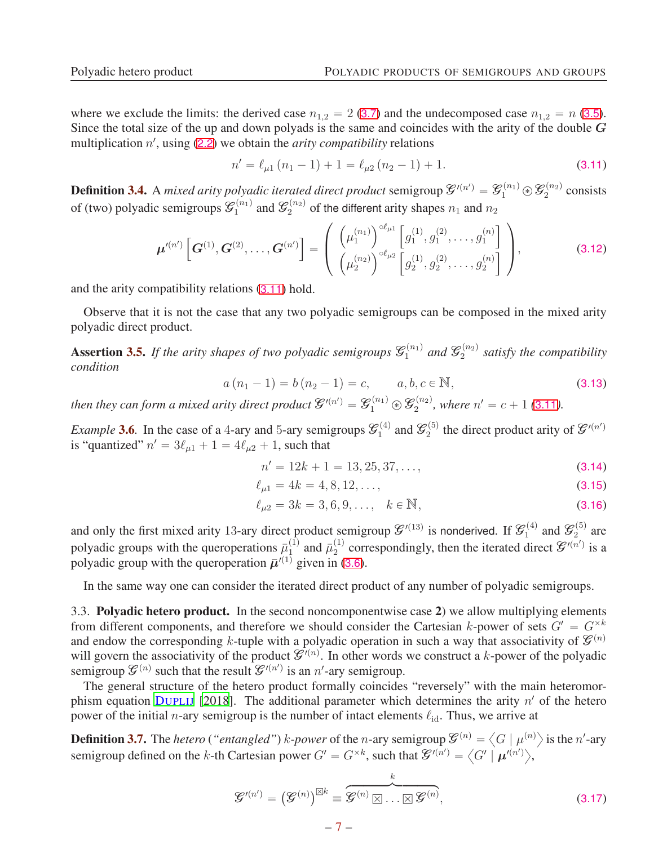where we exclude the limits: the derived case  $n_{1,2} = 2$  ([3.7](#page-5-1)) and the undecomposed case  $n_{1,2} = n$  ([3.5](#page-4-3)). Since the total size of the up and down polyads is the same and coincides with the arity of the double  $G$ multiplication n', using ([2.2](#page-2-5)) we obtain the *arity compatibility* relations

<span id="page-6-1"></span>
$$
n' = \ell_{\mu 1} (n_1 - 1) + 1 = \ell_{\mu 2} (n_2 - 1) + 1.
$$
 (3.11)

**Definition 3.4.** A *mixed arity polyadic iterated direct product* semigroup  $\mathcal{G}'^{(n')} = \mathcal{G}_1^{(n_1)} \circledast \mathcal{G}_2^{(n_2)}$  $2^{(n_2)}$  consists of (two) polyadic semigroups  $\mathcal{G}_1^{(n_1)}$  $\mathcal{E}_1^{(n_1)}$  and  $\mathcal{E}_2^{(n_2)}$  of the different arity shapes  $n_1$  and  $n_2$ 

$$
\boldsymbol{\mu}^{\prime (n')} \left[ \boldsymbol{G}^{(1)}, \boldsymbol{G}^{(2)}, \ldots, \boldsymbol{G}^{(n')} \right] = \left( \begin{array}{c} \left( \mu_1^{(n_1)} \right)^{\circ \ell_{\mu 1}} \left[ g_1^{(1)}, g_1^{(2)}, \ldots, g_1^{(n)} \right] \\ \left( \mu_2^{(n_2)} \right)^{\circ \ell_{\mu 2}} \left[ g_2^{(1)}, g_2^{(2)}, \ldots, g_2^{(n)} \right] \end{array} \right), \tag{3.12}
$$

and the arity compatibility relations ([3.11](#page-6-1)) hold.

Observe that it is not the case that any two polyadic semigroups can be composed in the mixed arity polyadic direct product.

**Assertion 3.5.** If the arity shapes of two polyadic semigroups  $\mathcal{G}_1^{(n_1)}$  $\mathscr{G}_1^{(n_1)}$  and  $\mathscr{G}_2^{(n_2)}$ 2 *satisfy the compatibility condition*

$$
a(n_1 - 1) = b(n_2 - 1) = c, \qquad a, b, c \in \mathbb{N},
$$
\n(3.13)

then they can form a mixed arity direct product  $\mathcal{G}'^{(n')}=\mathcal{G}^{(n_1)}_1\circledast\mathcal{G}^{(n_2)}_2$  $n_{2}^{(n_{2})}$ , where  $n' = c + 1$  ([3.11](#page-6-1)).

*Example* **3.6**. In the case of a 4-ary and 5-ary semigroups  $\mathcal{G}_1^{(4)}$  $\mathscr{G}_2^{(4)}$  and  $\mathscr{G}_2^{(5)}$  $t_2^{(5)}$  the direct product arity of  $\mathcal{G}'^{(n')}$ is "quantized"  $n' = 3\ell_{\mu 1} + 1 = 4\ell_{\mu 2} + 1$ , such that

$$
n' = 12k + 1 = 13, 25, 37, \dots,
$$
\n(3.14)

$$
\ell_{\mu 1} = 4k = 4, 8, 12, \dots,
$$
\n(3.15)

$$
\ell_{\mu 2} = 3k = 3, 6, 9, \dots, \quad k \in \mathbb{N}, \tag{3.16}
$$

and only the first mixed arity 13-ary direct product semigroup  $\mathcal{G}'^{(13)}$  is nonderived. If  $\mathcal{G}'^{(4)}_1$  $\mathscr{G}_2^{(4)}$  and  $\mathscr{G}_2^{(5)}$  $2^{(0)}$  are polyadic groups with the queroperations  $\bar{\mu}_1^{(1)}$  $\bar{u}_1^{(1)}$  and  $\bar{u}_2^{(1)}$  $2^{(1)}$  correspondingly, then the iterated direct  $\mathcal{G}'^{(n')}$  is a polyadic group with the queroperation  $\bar{\mu}'^{(1)}$  given in ([3.6](#page-4-5)).

In the same way one can consider the iterated direct product of any number of polyadic semigroups.

<span id="page-6-0"></span>3.3. Polyadic hetero product. In the second noncomponentwise case 2) we allow multiplying elements from different components, and therefore we should consider the Cartesian k-power of sets  $G' = G^{\times k}$ and endow the corresponding k-tuple with a polyadic operation in such a way that associativity of  $\mathcal{G}^{(n)}$ will govern the associativity of the product  $\mathcal{G}^{(n)}$ . In other words we construct a k-power of the polyadic semigroup  $\mathcal{G}^{(n)}$  such that the result  $\mathcal{G}'^{(n')}$  is an n'-ary semigroup.

The general structure of the hetero product formally coincides "reversely" with the main heteromor-phism equation D[UPLIJ](#page-20-11) [\[2018\]](#page-20-11). The additional parameter which determines the arity  $n'$  of the hetero power of the initial *n*-ary semigroup is the number of intact elements  $\ell_{\rm id}$ . Thus, we arrive at

**Definition 3.7.** The *hetero* (*"entangled"*) k-power of the *n*-ary semigroup  $\mathscr{G}^{(n)} = \langle G | \mu^{(n)} \rangle$  is the *n'*-ary semigroup defined on the k-th Cartesian power  $G' = G^{\times k}$ , such that  $\mathcal{G}'^{(n')} = \left\langle G' \mid \mu'^{(n')} \right\rangle$ ,

$$
\mathcal{G}^{\prime (n')} = \left(\mathcal{G}^{(n)}\right)^{\boxtimes k} \equiv \overbrace{\mathcal{G}^{(n)} \boxtimes \ldots \boxtimes \mathcal{G}^{(n)}}^{k},\tag{3.17}
$$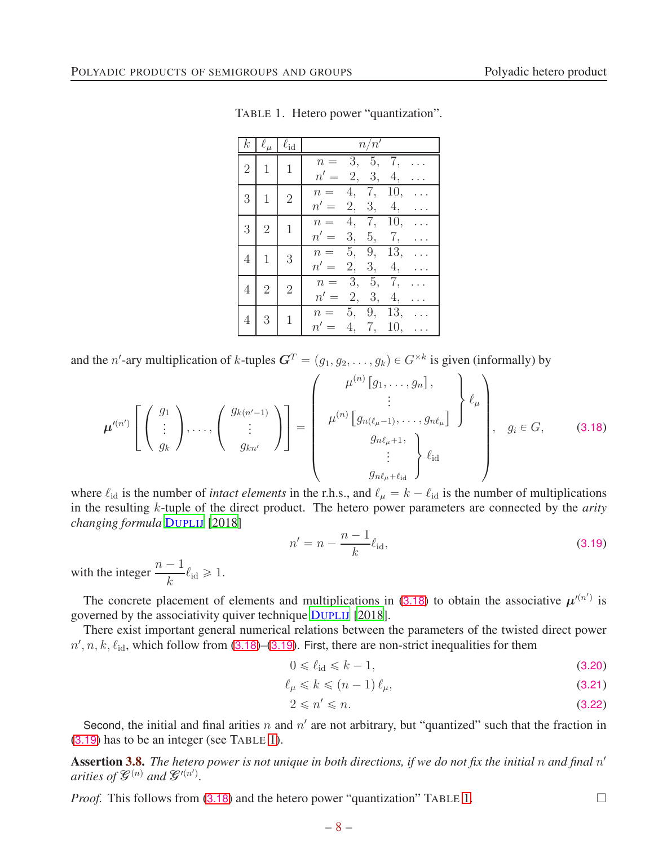|                | $k \mid \ell_\mu \mid \ell_{\mathrm{id}}$ |                | n/n'                                                  |
|----------------|-------------------------------------------|----------------|-------------------------------------------------------|
| $\overline{2}$ | $\mathbf{1}$                              | $\mathbf{1}$   | 3, 5,<br>7,<br>$n =$<br>$n' =$<br>2, 3,<br>4,         |
| 3              | $\mathbf{1}$                              | $\overline{2}$ | 4, 7, 10,<br>$n =$<br>2, 3, 4,<br>$n' =$              |
| 3              | $\overline{2}$                            | $\mathbf{1}$   | 4, 7, 10,<br>$n =$<br>$n' =$<br>3, 5, 7,              |
| 4              | $\mathbf{1}$                              | 3              | 5, 9,<br>13,<br>$n =$<br>2, 3, 4,<br>$n' =$           |
| 4              | $\sqrt{2}$                                | $\sqrt{2}$     | 3, 5,<br>7,<br>$n =$<br>2,<br>$n' =$<br>3,<br>4,      |
| 4              | 3                                         | $\mathbf{1}$   | 13,<br>9,<br>5,<br>$n =$<br>$n' =$<br>7,<br>4,<br>10, |

<span id="page-7-2"></span>TABLE 1. Hetero power "quantization".

and the *n'*-ary multiplication of *k*-tuples  $G^T = (g_1, g_2, \dots, g_k) \in G^{\times k}$  is given (informally) by

<span id="page-7-0"></span>
$$
\boldsymbol{\mu}^{\prime(n')} \left[ \begin{pmatrix} g_1 \\ \vdots \\ g_k \end{pmatrix}, \dots, \begin{pmatrix} g_{k(n'-1)} \\ \vdots \\ g_{kn'} \end{pmatrix} \right] = \begin{pmatrix} \mu^{(n)} \left[ g_1, \dots, g_n \right], \\ \mu^{(n)} \left[ g_{n(\ell_\mu - 1)}, \dots, g_{n\ell_\mu} \right] \\ g_{n\ell_\mu + 1}, \\ \vdots \\ g_{n\ell_\mu + \ell_{\mathrm{id}}} \end{pmatrix} \ell_{\mathrm{id}} \right), \quad g_i \in G, \quad (3.18)
$$

where  $\ell_{\rm id}$  is the number of *intact elements* in the r.h.s., and  $\ell_{\mu} = k - \ell_{\rm id}$  is the number of multiplications in the resulting k-tuple of the direct product. The hetero power parameters are connected by the *arity changing formula* D[UPLIJ](#page-20-11) [\[2018\]](#page-20-11)

<span id="page-7-1"></span>
$$
n' = n - \frac{n-1}{k} \ell_{\text{id}},\tag{3.19}
$$

with the integer  $\frac{n-1}{1}$  $\frac{-1}{k}$  $\ell_{\text{id}} \geq 1.$ 

The concrete placement of elements and multiplications in ([3.18](#page-7-0)) to obtain the associative  $\mu^{(n')}$  is governed by the associativity quiver technique D[UPLIJ](#page-20-11) [\[2018](#page-20-11)].

There exist important general numerical relations between the parameters of the twisted direct power  $n', n, k, \ell_{\text{id}}$ , which follow from ([3.18](#page-7-0))–([3.19](#page-7-1)). First, there are non-strict inequalities for them

$$
0 \leqslant \ell_{\text{id}} \leqslant k - 1,\tag{3.20}
$$

$$
\ell_{\mu} \leqslant k \leqslant (n-1)\,\ell_{\mu},\tag{3.21}
$$

$$
2 \leqslant n' \leqslant n. \tag{3.22}
$$

Second, the initial and final arities n and  $n'$  are not arbitrary, but "quantized" such that the fraction in ([3.19](#page-7-1)) has to be an integer (see TABLE [1\)](#page-7-2).

Assertion 3.8. The hetero power is not unique in both directions, if we do not fix the initial n and final n' *arities of*  $\mathcal{G}^{(n)}$  *and*  $\mathcal{G}^{\prime (n')}$ .

*Proof.* This follows from  $(3.18)$  $(3.18)$  $(3.18)$  and the hetero power "quantization" TABLE [1.](#page-7-2)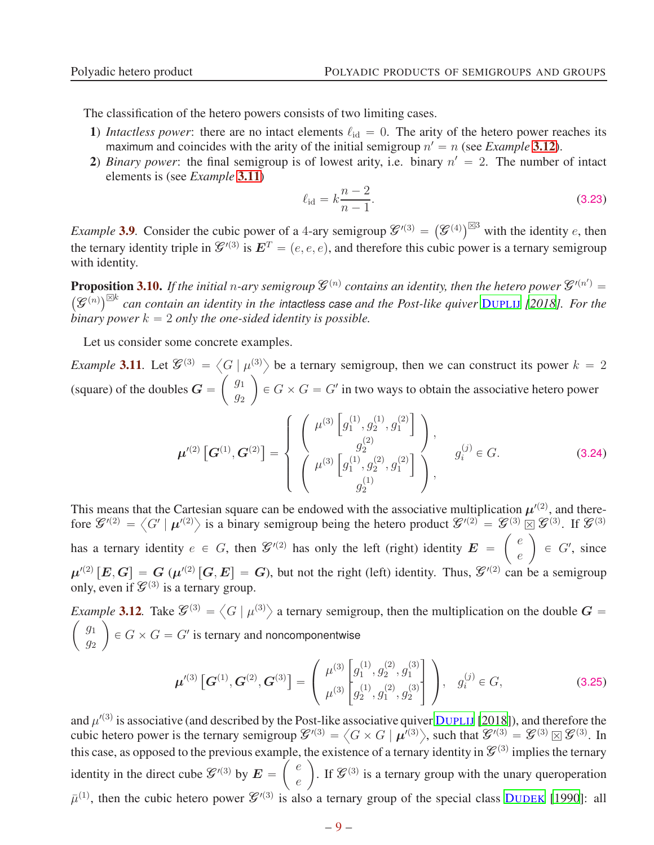The classification of the hetero powers consists of two limiting cases.

- 1) *Intactless power*: there are no intact elements  $\ell_{id} = 0$ . The arity of the hetero power reaches its maximum and coincides with the arity of the initial semigroup  $n' = n$  (see *Example* [3.12](#page-8-0)).
- 2) *Binary power*: the final semigroup is of lowest arity, i.e. binary  $n' = 2$ . The number of intact elements is (see *Example* [3.11](#page-8-1))

$$
\ell_{\rm id} = k \frac{n-2}{n-1}.
$$
\n(3.23)

*Example* 3.9. Consider the cubic power of a 4-ary semigroup  $\mathscr{L}'^{(3)} = (\mathscr{L}^{(4)})^{\boxtimes 3}$  with the identity e, then the ternary identity triple in  $\mathcal{G}'^{(3)}$  is  $\mathbf{E}^T = (e, e, e)$ , and therefore this cubic power is a ternary semigroup with identity.

**Proposition 3.10.** If the initial n-ary semigroup  $\mathcal{G}^{(n)}$  contains an identity, then the hetero power  $\mathcal{G}'^{(n')}$ **Proposition 3.10.** If the initial n-ary semigroup  $\mathcal{G}^{(n)}$  contains an identity, then the hetero power  $\mathcal{G}'^{(n')} = (\mathcal{G}^{(n)})^{\boxtimes k}$  can contain an identity in the intactless case and the Post-like quiver D[UPLIJ](#page-20-11) [201  $\hat{b}$ *inary power*  $k = 2$  *only the one-sided identity is possible.* 

Let us consider some concrete examples.

<span id="page-8-1"></span>*Example* 3.11. Let  $\mathcal{G}^{(3)} = \left\langle G \mid \mu^{(3)} \right\rangle$  be a ternary semigroup, then we can construct its power  $k = 2$ (square) of the doubles  $G =$  $\int g_1$  $\overline{g}_2$ ˙  $\in G \times G = G'$  in two ways to obtain the associative hetero power

$$
\boldsymbol{\mu}'^{(2)}\left[\mathbf{G}^{(1)},\mathbf{G}^{(2)}\right] = \begin{cases} \begin{pmatrix} \mu^{(3)}\left[g_1^{(1)},g_2^{(1)},g_1^{(2)}\right] \\ g_2^{(2)} \end{pmatrix}, & g_i^{(j)} \in G. \\ \begin{pmatrix} \mu^{(3)}\left[g_1^{(1)},g_2^{(2)},g_1^{(2)}\right] \\ g_2^{(1)} \end{pmatrix}, & g_i^{(j)} \in G. \end{cases}
$$
(3.24)

This means that the Cartesian square can be endowed with the associative multiplication  $\mu'^{(2)}$ , and therefore  $\mathscr{G}^{(2)} = \langle G' | \mu^{(2)} \rangle$  is a binary semigroup being the hetero product  $\mathscr{G}^{(2)} = \mathscr{G}^{(3)} \boxtimes \mathscr{G}^{(3)}$ . If  $\mathscr{G}^{(3)}$ has a ternary identity  $e \in G$ , then  $\mathcal{G}^{(2)}$  has only the left (right) identity  $E = \begin{pmatrix} e \\ e \end{pmatrix}$ e ˙  $\in G'$ , since  $\mu'^{(2)}[E, G] = G(\mu'^{(2)}[G, E] = G)$ , but not the right (left) identity. Thus,  $\mathcal{G}'^{(2)}$  can be a semigroup only, even if  $\mathcal{G}^{(3)}$  is a ternary group.

<span id="page-8-0"></span>*Example* 3.12. Take  $\mathcal{G}^{(3)} = \langle G | \mu^{(3)} \rangle$  a ternary semigroup, then the multiplication on the double  $G = \langle g_1 \rangle$  $\overline{g}_1$  $\overline{g_2}$ ˙  $\in G \times G = G'$  is ternary and noncomponentwise

$$
\boldsymbol{\mu}'^{(3)}\left[\boldsymbol{G}^{(1)},\boldsymbol{G}^{(2)},\boldsymbol{G}^{(3)}\right] = \begin{pmatrix} \mu^{(3)}\left[g_1^{(1)},g_2^{(2)},g_1^{(3)}\right] \\ \mu^{(3)}\left[g_2^{(1)},g_1^{(2)},g_2^{(3)}\right] \end{pmatrix}, \quad g_i^{(j)} \in G,
$$
\n(3.25)

and  $\mu'^{(3)}$  is associative (and described by the Post-like associative quiver D[UPLIJ](#page-20-11) [\[2018](#page-20-11)]), and therefore the cubic hetero power is the ternary semigroup  $\mathcal{G}'^{(3)} = \left\langle G \times G \mid \boldsymbol{\mu}^{(3)} \right\rangle$ , such that  $\mathcal{G}'^{(3)} = \mathcal{G}^{(3)} \boxtimes \mathcal{G}^{(3)}$ . In this case, as opposed to the previous example, the existence of a ternary identity in  $\mathcal{G}^{(3)}$  implies the ternary identity in the direct cube  $\mathcal{G}^{\prime(3)}$  by  $\mathbf{E} = \begin{pmatrix} e \\ e \end{pmatrix}$ e ). If  $\mathcal{G}^{(3)}$  is a ternary group with the unary queroperation  $\bar{\mu}^{(1)}$ , then the cubic hetero power  $\mathcal{G}'^{(3)}$  is also a ternary group of the special class D[UDEK](#page-20-17) [\[1990](#page-20-17)]: all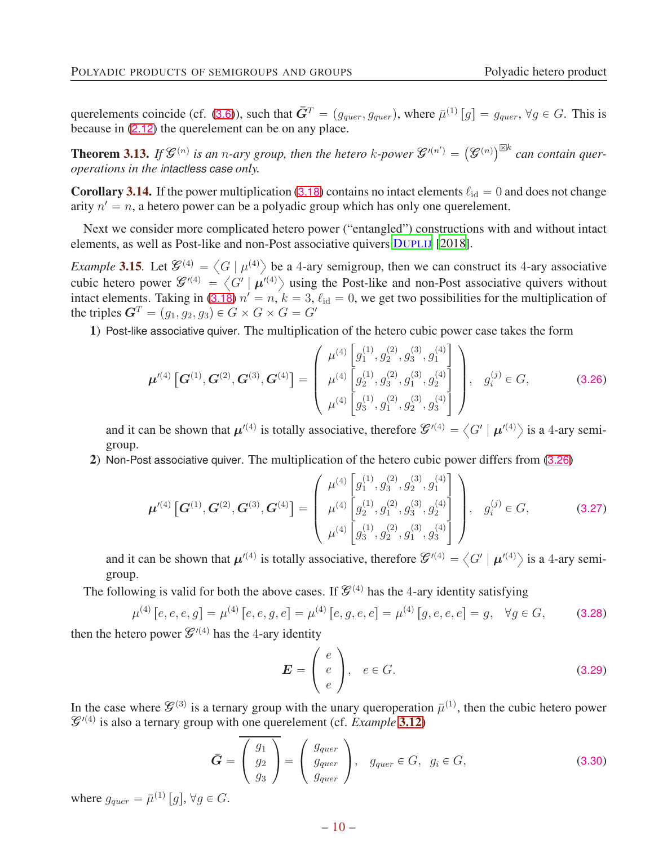querelements coincide (cf. ([3.6](#page-4-5))), such that  $\bar{G}^T = (g_{quer}, g_{quer})$ , where  $\bar{\mu}^{(1)}[g] = g_{quer}, \forall g \in G$ . This is because in ([2.12](#page-3-2)) the querelement can be on any place.

**Theorem 3.13.** If  $\mathcal{G}^{(n)}$  is an n-ary group, then the hetero k-power  $\mathcal{G}'^{(n')} = (\mathcal{G}^{(n)})^{\boxtimes k}$  can contain quer*operations in the intactless case only.*

**Corollary 3.14.** If the power multiplication ([3.18](#page-7-0)) contains no intact elements  $\ell_{id} = 0$  and does not change arity  $n' = n$ , a hetero power can be a polyadic group which has only one querelement.

Next we consider more complicated hetero power ("entangled") constructions with and without intact elements, as well as Post-like and non-Post associative quivers D[UPLIJ](#page-20-11) [\[2018](#page-20-11)].

*Example* 3.15. Let  $\mathcal{G}^{(4)} = \langle G | \mu^{(4)} \rangle$  be a 4-ary semigroup, then we can construct its 4-ary associative cubic hetero power  $\mathcal{G}'^{(4)} = \langle G' | \mu^{(4)} \rangle$  using the Post-like and non-Post associative quivers without intact elements. Taking in ([3.18](#page-7-0))  $n' = n$ ,  $k = 3$ ,  $\ell_{\text{id}} = 0$ , we get two possibilities for the multiplication of the triples  $G^T = (g_1, g_2, g_3) \in G \times G \times G = G'$ 

1) Post-like associative quiver. The multiplication of the hetero cubic power case takes the form

<span id="page-9-0"></span>
$$
\boldsymbol{\mu}'^{(4)}\left[\boldsymbol{G}^{(1)},\boldsymbol{G}^{(2)},\boldsymbol{G}^{(3)},\boldsymbol{G}^{(4)}\right] = \begin{pmatrix} \mu^{(4)}\left[g_1^{(1)},g_2^{(2)},g_3^{(3)},g_1^{(4)}\right] \\ \mu^{(4)}\left[g_2^{(1)},g_3^{(2)},g_1^{(3)},g_2^{(4)}\right] \\ \mu^{(4)}\left[g_3^{(1)},g_1^{(2)},g_2^{(3)},g_3^{(4)}\right] \end{pmatrix}, g_i^{(j)} \in G,
$$
\n(3.26)

and it can be shown that  $\mu'^{(4)}$  is totally associative, therefore  $\mathscr{G}'^{(4)} = \langle G' | \mu'^{(4)} \rangle$  is a 4-ary semigroup.

2) Non-Post associative quiver. The multiplication of the hetero cubic power differs from ([3.26](#page-9-0))

$$
\boldsymbol{\mu}'^{(4)}\left[\boldsymbol{G}^{(1)},\boldsymbol{G}^{(2)},\boldsymbol{G}^{(3)},\boldsymbol{G}^{(4)}\right] = \begin{pmatrix} \mu^{(4)}\left[g_1^{(1)},g_3^{(2)},g_2^{(3)},g_1^{(4)}\right] \\ \mu^{(4)}\left[g_2^{(1)},g_1^{(2)},g_3^{(3)},g_2^{(4)}\right] \\ \mu^{(4)}\left[g_3^{(1)},g_2^{(2)},g_1^{(3)},g_3^{(4)}\right] \end{pmatrix}, \quad g_i^{(j)} \in G,
$$
\n(3.27)

and it can be shown that  $\mu'^{(4)}$  is totally associative, therefore  $\mathscr{G}'^{(4)} = \langle G' | \mu'^{(4)} \rangle$  is a 4-ary semigroup.

The following is valid for both the above cases. If  $\mathcal{G}^{(4)}$  has the 4-ary identity satisfying

<span id="page-9-1"></span>
$$
\mu^{(4)}\left[e, e, e, g\right] = \mu^{(4)}\left[e, e, g, e\right] = \mu^{(4)}\left[e, g, e, e\right] = \mu^{(4)}\left[g, e, e, e\right] = g, \quad \forall g \in G,\tag{3.28}
$$

then the hetero power  $\mathcal{G}^{\prime(4)}$  has the 4-ary identity

<span id="page-9-2"></span>
$$
\boldsymbol{E} = \begin{pmatrix} e \\ e \\ e \end{pmatrix}, \quad e \in G. \tag{3.29}
$$

In the case where  $\mathcal{G}^{(3)}$  is a ternary group with the unary queroperation  $\bar{\mu}^{(1)}$ , then the cubic hetero power  $\mathcal{G}'^{(4)}$  is also a ternary group with one querelement (cf. *Example* [3.12](#page-8-0))

$$
\bar{G} = \overline{\left(\begin{array}{c} g_1 \\ g_2 \\ g_3 \end{array}\right)} = \left(\begin{array}{c} g_{quer} \\ g_{quer} \\ g_{quer} \end{array}\right), \quad g_{quer} \in G, \quad g_i \in G,
$$
\n(3.30)

where  $g_{quer} = \bar{\mu}^{(1)}[g], \forall g \in G$ .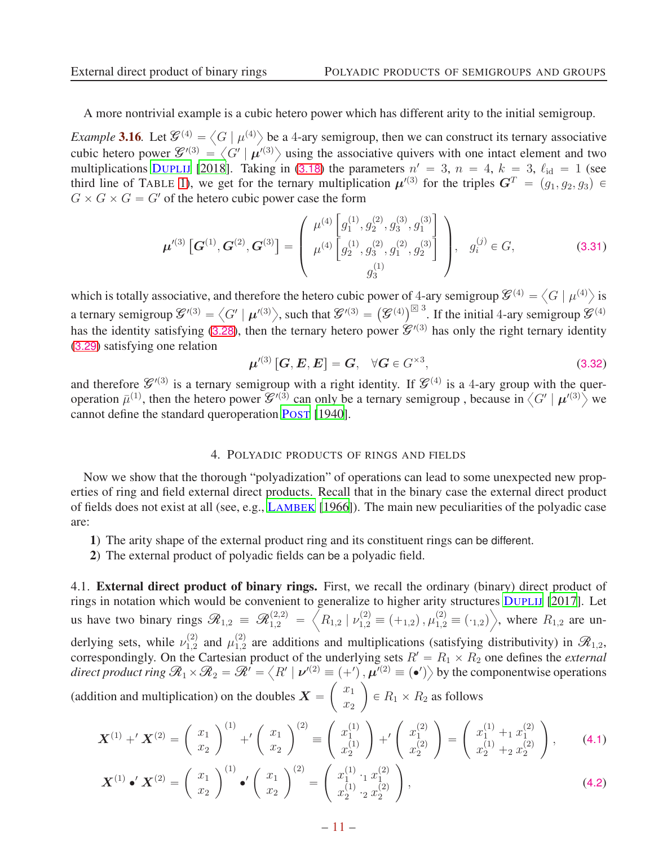A more nontrivial example is a cubic hetero power which has different arity to the initial semigroup.

*Example* 3.16. Let  $\mathcal{G}^{(4)} = \langle G | \mu^{(4)} \rangle$  be a 4-ary semigroup, then we can construct its ternary associative cubic hetero power  $\mathcal{G}^{\prime}(3) = \left\langle G' \mid \mu^{\prime}(3) \right\rangle$  using the associative quivers with one intact element and two multiplications D[UPLIJ](#page-20-11) [\[2018](#page-20-11)]. Taking in ([3.18](#page-7-0)) the parameters  $n' = 3$ ,  $n = 4$ ,  $k = 3$ ,  $\ell_{\text{id}} = 1$  (see third line of TABLE [1\)](#page-7-2), we get for the ternary multiplication  $\mu^{(3)}$  for the triples  $G^T = (g_1, g_2, g_3) \in$  $G \times G \times G = G'$  of the hetero cubic power case the form

$$
\boldsymbol{\mu}'^{(3)}\left[\boldsymbol{G}^{(1)},\boldsymbol{G}^{(2)},\boldsymbol{G}^{(3)}\right] = \begin{pmatrix} \mu^{(4)}\left[g_1^{(1)},g_2^{(2)},g_3^{(3)},g_1^{(3)}\right] \\ \mu^{(4)}\left[g_2^{(1)},g_3^{(2)},g_1^{(2)},g_2^{(3)}\right] \\ g_3^{(1)} \end{pmatrix}, \quad g_i^{(j)} \in G,
$$
\n(3.31)

which is totally associative, and therefore the hetero cubic power of 4-ary semigroup  $\mathcal{G}^{(4)} = \left\langle G \mid \mu^{(4)} \right\rangle$  is a ternary semigroup  $\mathcal{G}^{\prime(3)} = \left\langle G' \mid \boldsymbol{\mu}^{\prime(3)} \right\rangle$ , such that  $\mathcal{G}^{\prime(3)} = \left( \mathcal{G}^{(4)} \right)^{\boxtimes 3}$ . If the initial 4-ary semigroup  $\mathcal{G}^{(4)}$ has the identity satisfying ([3.28](#page-9-1)), then the ternary hetero power  $\mathcal{L}^{1(3)}$  has only the right ternary identity ([3.29](#page-9-2)) satisfying one relation

$$
\boldsymbol{\mu}^{\prime(3)}\left[\boldsymbol{G},\boldsymbol{E},\boldsymbol{E}\right]=\boldsymbol{G},\quad\forall\boldsymbol{G}\in G^{\times 3},\tag{3.32}
$$

and therefore  $\mathcal{G}'^{(3)}$  is a ternary semigroup with a right identity. If  $\mathcal{G}^{(4)}$  is a 4-ary group with the queroperation  $\bar{\mu}^{(1)}$ , then the hetero power  $\mathcal{G}'^{(3)}$  can only be a ternary semigroup, because in  $\langle G' | \mu'^{(3)} \rangle$  we cannot define the standard queroperation P[OST](#page-20-12) [\[1940\]](#page-20-12).

## <span id="page-10-2"></span>4. POLYADIC PRODUCTS OF RINGS AND FIELDS

<span id="page-10-0"></span>Now we show that the thorough "polyadization" of operations can lead to some unexpected new properties of ring and field external direct products. Recall that in the binary case the external direct product of fields does not exist at all (see, e.g., L[AMBEK](#page-20-2) [\[1966\]](#page-20-2)). The main new peculiarities of the polyadic case are:

- 1) The arity shape of the external product ring and its constituent rings can be different.
- 2) The external product of polyadic fields can be a polyadic field.

<span id="page-10-1"></span>4.1. External direct product of binary rings. First, we recall the ordinary (binary) direct product of rings in notation which would be convenient to generalize to higher arity structures D[UPLIJ](#page-20-10) [\[2017](#page-20-10)]. Let us have two binary rings  $\mathscr{R}_{1,2} \equiv \mathscr{R}_{1,2}^{(2,2)}$  =  $\left\langle R_{1,2} \mid \nu_{1,2}^{(2)} \equiv (+_{1,2}), \mu_{1,2}^{(2)} \equiv (-_{1,2}) \right\rangle$  $\Big\rangle$ , where  $R_{1,2}$  are underlying sets, while  $\nu_{1,2}^{(2)}$  $\frac{(2)}{1,2}$  and  $\mu_{1,2}^{(2)}$  $1,2$  are additions and multiplications (satisfying distributivity) in  $\mathscr{R}_{1,2}$ , correspondingly. On the Cartesian product of the underlying sets  $R' = R_1 \times R_2$  one defines the *external direct product ring*  $\mathcal{R}_1 \times \mathcal{R}_2 = \mathcal{R}' = \langle R' | \nu'^{(2)} \equiv (+') , \mu^{(2)} \equiv (\bullet') \rangle$  by the componentwise operations (addition and multiplication) on the doubles  $X =$  $\int x_1$  $\overline{x_2}$ ˙  $\in R_1 \times R_2$  as follows

$$
\mathbf{X}^{(1)} + \mathbf{X}^{(2)} = \begin{pmatrix} x_1 \\ x_2 \end{pmatrix}^{(1)} + \left(\begin{pmatrix} x_1 \\ x_2 \end{pmatrix}^{(2)} \right) \equiv \begin{pmatrix} x_1^{(1)} \\ x_2^{(1)} \end{pmatrix} + \left(\begin{pmatrix} x_2^{(2)} \\ x_2^{(2)} \end{pmatrix} \right) = \begin{pmatrix} x_1^{(1)} + x_1^{(2)} \\ x_2^{(1)} + x_2^{(2)} \end{pmatrix}, \tag{4.1}
$$

<span id="page-10-3"></span>
$$
\boldsymbol{X}^{(1)} \bullet' \boldsymbol{X}^{(2)} = \left(\begin{array}{c} x_1 \\ x_2 \end{array}\right)^{(1)} \bullet' \left(\begin{array}{c} x_1 \\ x_2 \end{array}\right)^{(2)} = \left(\begin{array}{c} x_1^{(1)} \cdot_1 x_1^{(2)} \\ x_2^{(1)} \cdot_2 x_2^{(2)} \end{array}\right), \tag{4.2}
$$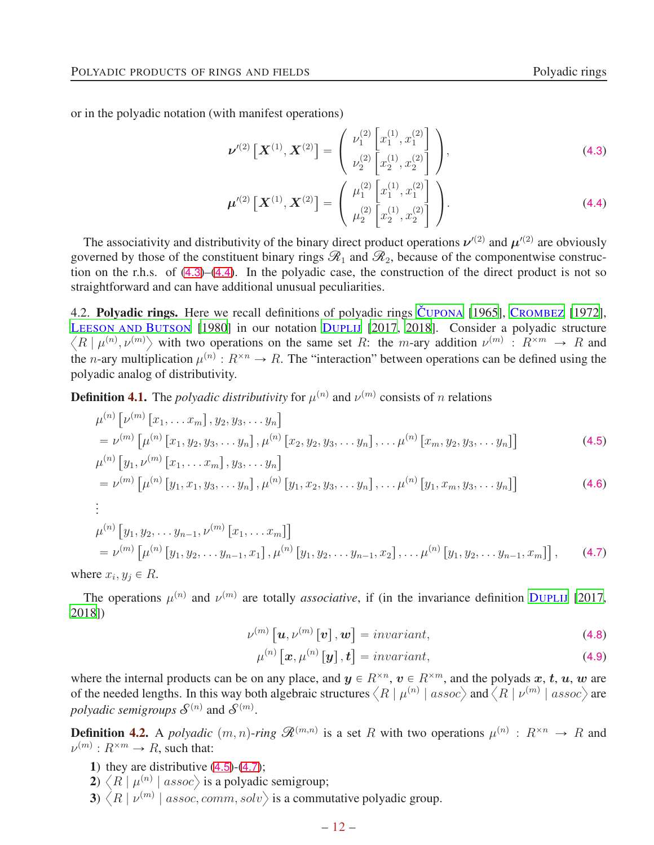or in the polyadic notation (with manifest operations)

<span id="page-11-1"></span>
$$
\boldsymbol{\nu}^{\prime\left(2\right)}\left[\boldsymbol{X}^{\left(1\right)},\boldsymbol{X}^{\left(2\right)}\right]=\left(\begin{array}{c} \nu_{1}^{\left(2\right)}\left[x_{1}^{\left(1\right)},x_{1}^{\left(2\right)}\right] \\ \nu_{2}^{\left(2\right)}\left[x_{2}^{\left(1\right)},x_{2}^{\left(2\right)}\right] \end{array}\right),\tag{4.3}
$$

<span id="page-11-2"></span>
$$
\boldsymbol{\mu}'^{(2)}\left[\boldsymbol{X}^{(1)},\boldsymbol{X}^{(2)}\right]=\left(\begin{array}{c} \mu_1^{(2)}\left[x_1^{(1)},x_1^{(2)}\right] \\ \mu_2^{(2)}\left[x_2^{(1)},x_2^{(2)}\right] \end{array}\right).
$$
(4.4)

The associativity and distributivity of the binary direct product operations  $\nu'^{(2)}$  and  $\mu'^{(2)}$  are obviously governed by those of the constituent binary rings  $\mathcal{R}_1$  and  $\mathcal{R}_2$ , because of the componentwise construction on the r.h.s. of ([4.3](#page-11-1))–([4.4](#page-11-2)). In the polyadic case, the construction of the direct product is not so straightforward and can have additional unusual peculiarities.

<span id="page-11-0"></span>4.2. Polyadic rings. Here we recall definitions of polyadic rings C[UPONA](#page-20-18) [\[1965\]](#page-20-18), C[ROMBEZ](#page-20-19) [\[1972](#page-20-19)], LEESON AND BUTSON [1980] in our notation D[UPLIJ](#page-20-10) [\[2017](#page-20-10), [2018](#page-20-11)]. Consider a polyadic structure  $\langle R | \mu^{(n)}, \nu^{(m)} \rangle$  with two operations on the same set R: the m-ary addition  $\nu^{(m)} : R^{\times m} \to R$  and the *n*-ary multiplication  $\mu^{(n)} : R^{\times n} \to R$ . The "interaction" between operations can be defined using the polyadic analog of distributivity.

**Definition 4.1.** The *polyadic distributivity* for  $\mu^{(n)}$  and  $\nu^{(m)}$  consists of n relations

$$
\mu^{(n)}\left[\nu^{(m)}\left[x_1,\ldots x_m\right], y_2, y_3, \ldots y_n\right] \n= \nu^{(m)}\left[\mu^{(n)}\left[x_1, y_2, y_3, \ldots y_n\right], \mu^{(n)}\left[x_2, y_2, y_3, \ldots y_n\right], \ldots \mu^{(n)}\left[x_m, y_2, y_3, \ldots y_n\right]\right]
$$
\n(4.5)

$$
\mu^{(n)}\left[y_1, \nu^{(m)}\left[x_1, \ldots x_m\right], y_3, \ldots y_n\right] \tag{2.5}
$$

$$
= \nu^{(m)} \left[ \mu^{(n)} \left[ y_1, x_1, y_3, \dots y_n \right], \mu^{(n)} \left[ y_1, x_2, y_3, \dots y_n \right], \dots \mu^{(n)} \left[ y_1, x_m, y_3, \dots y_n \right] \right] \tag{4.6}
$$

$$
\vdots \\
$$

$$
\mu^{(n)}\left[y_1, y_2, \dots y_{n-1}, \nu^{(m)}\left[x_1, \dots x_m\right]\right]
$$
  
=  $\nu^{(m)}\left[\mu^{(n)}\left[y_1, y_2, \dots y_{n-1}, x_1\right], \mu^{(n)}\left[y_1, y_2, \dots y_{n-1}, x_2\right], \dots \mu^{(n)}\left[y_1, y_2, \dots y_{n-1}, x_m\right]\right],$  (4.7)

where  $x_i, y_j \in R$ .

The operations  $\mu^{(n)}$  and  $\nu^{(m)}$  are totally *associative*, if (in the invariance definition D[UPLIJ](#page-20-10) [\[2017](#page-20-10), [2018](#page-20-11)])

<span id="page-11-3"></span>
$$
\nu^{(m)}\left[\boldsymbol{u},\nu^{(m)}\left[\boldsymbol{v}\right],\boldsymbol{w}\right]=invariant,\tag{4.8}
$$

<span id="page-11-4"></span>
$$
\mu^{(n)}\left[\boldsymbol{x},\mu^{(n)}\left[\boldsymbol{y}\right],\boldsymbol{t}\right] = invariant,\tag{4.9}
$$

where the internal products can be on any place, and  $y \in R^{\times n}$ ,  $v \in R^{\times m}$ , and the polyads  $x, t, u, w$  are of the needed lengths. In this way both algebraic structures  $\langle R | \mu^{(n)} |$  assoc) and  $\langle R | \nu^{(m)} |$  assoc) are *polyadic semigroups*  $\mathcal{S}^{(n)}$  and  $\mathcal{S}^{(m)}$ .

**Definition 4.2.** A *polyadic*  $(m, n)$ -*ring*  $\mathcal{R}^{(m,n)}$  is a set R with two operations  $\mu^{(n)} : R^{\times n} \to R$  and  $\nu^{(m)}: R^{\times m} \to R$ , such that:

- 1) they are distributive  $(4.5)-(4.7)$  $(4.5)-(4.7)$  $(4.5)-(4.7)$  $(4.5)-(4.7)$  $(4.5)-(4.7)$ ;
- 2)  $\langle R | \mu^{(n)} |$  assoc $\rangle$  is a polyadic semigroup;
- 3)  $\langle R | \nu^{(m)} |$  assoc, comm, solv $\rangle$  is a commutative polyadic group.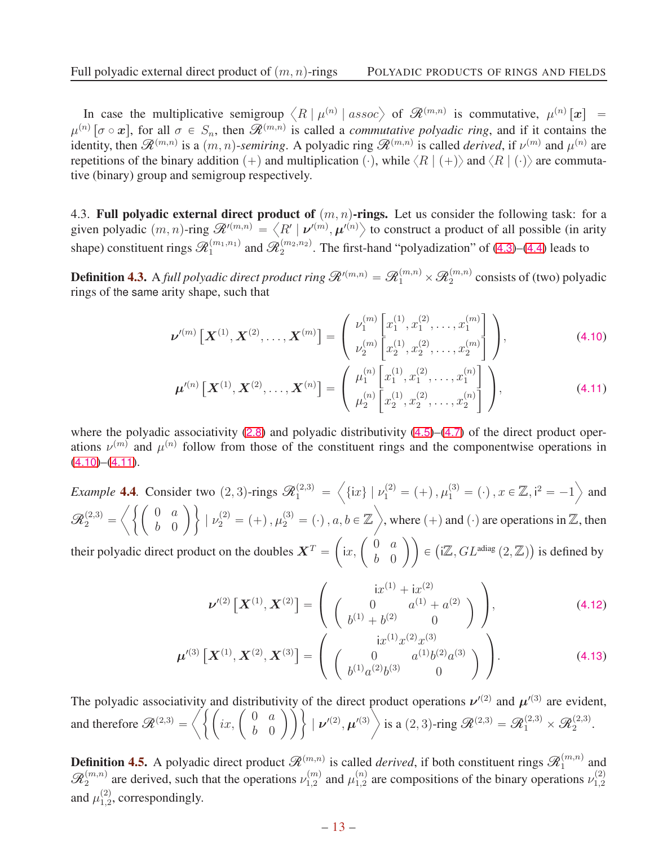In case the multiplicative semigroup  $\langle R | \mu^{(n)} |$  assoc) of  $\mathcal{R}^{(m,n)}$  is commutative,  $\mu^{(n)}[x]$  =  $\mu^{(n)}$  [ $\sigma \circ \mathbf{x}$ ], for all  $\sigma \in S_n$ , then  $\mathscr{R}^{(m,n)}$  is called a *commutative polyadic ring*, and if it contains the identity, then  $\mathcal{R}^{(m,n)}$  is a  $(m, n)$ -semiring. A polyadic ring  $\mathcal{R}^{(m,n)}$  is called *derived*, if  $\nu^{(m)}$  and  $\mu^{(n)}$  are repetitions of the binary addition  $(+)$  and multiplication  $(·)$ , while  $\langle R | (+) \rangle$  and  $\langle R | (·) \rangle$  are commutative (binary) group and semigroup respectively.

<span id="page-12-0"></span>4.3. Full polyadic external direct product of  $(m, n)$ -rings. Let us consider the following task: for a given polyadic  $(m, n)$ -ring  $\mathscr{R}'^{(m,n)} = \langle R' | \nu'^{(m)}, \mu'^{(n)} \rangle$  to construct a product of all possible (in arity shape) constituent rings  $\mathcal{R}_1^{(m_1,n_1)}$  and  $\mathcal{R}_2^{(m_2,n_2)}$ . The first-hand "polyadization" of ([4.3](#page-11-1))–([4.4](#page-11-2)) leads to

**Definition 4.3.** A *full polyadic direct product ring*  $\mathcal{R}^{(m,n)} = \mathcal{R}_1^{(m,n)} \times \mathcal{R}_2^{(m,n)}$  consists of (two) polyadic rings of the same arity shape, such that

$$
\boldsymbol{\nu}^{\prime (m)}\left[\boldsymbol{X}^{(1)},\boldsymbol{X}^{(2)},\ldots,\boldsymbol{X}^{(m)}\right]=\left(\begin{array}{c} \nu_1^{(m)}\left[x_1^{(1)},x_1^{(2)},\ldots,x_1^{(m)}\right] \\ \nu_2^{(m)}\left[x_2^{(1)},x_2^{(2)},\ldots,x_2^{(m)}\right] \end{array}\right),\tag{4.10}
$$

<span id="page-12-2"></span><span id="page-12-1"></span>
$$
\boldsymbol{\mu}^{\prime (n)} \left[ \boldsymbol{X}^{(1)}, \boldsymbol{X}^{(2)}, \ldots, \boldsymbol{X}^{(n)} \right] = \begin{pmatrix} \mu_1^{(n)} \left[ x_1^{(1)}, x_1^{(2)}, \ldots, x_1^{(n)} \right] \\ \mu_2^{(n)} \left[ x_2^{(1)}, x_2^{(2)}, \ldots, x_2^{(n)} \right] \end{pmatrix}, \tag{4.11}
$$

where the polyadic associativity  $(2.8)$  $(2.8)$  $(2.8)$  and polyadic distributivity  $(4.5)$  $(4.5)$  $(4.5)$ – $(4.7)$  $(4.7)$  $(4.7)$  of the direct product operations  $\nu^{(m)}$  and  $\mu^{(n)}$  follow from those of the constituent rings and the componentwise operations in  $(4.10)$  $(4.10)$  $(4.10)$ – $(4.11)$  $(4.11)$  $(4.11)$ .

<span id="page-12-3"></span>*Example* **4.4**. Consider two  $(2, 3)$ -rings  $\mathcal{R}_1^{(2,3)}$  =  $\left\langle \left\{ \mathrm{i}x\right\} \,|\, \nu_{1}^{(2)} = (+) \,, \mu_{1}^{(3)} = (\cdot) \,, x \in \mathbb{Z}, \mathrm{i}^{2} = -1 \right\rangle$  and  $\mathscr{R}_2^{(2,3)}$  =  $\int \int \int 0$  a b 0 ˙\*  $| \nu_2^{(2)} = (+), \mu_2^{(3)} = (.)$ ,  $a, b \in \mathbb{Z}$ , where  $(+)$  and  $(.)$  are operations in  $\mathbb{Z}$ , then

their polyadic direct product on the doubles  $X^T =$  $\int$ ix,  $\int_{b}^{0} \frac{a}{b}$ b 0 ˙˙  $\in (i\mathbb{Z}, GL^{adiag}(2,\mathbb{Z}))$  is defined by

$$
\nu'^{(2)}\left[\mathbf{X}^{(1)}, \mathbf{X}^{(2)}\right] = \begin{pmatrix} ix^{(1)} + ix^{(2)} \\ 0 & a^{(1)} + a^{(2)} \\ b^{(1)} + b^{(2)} & 0 \end{pmatrix},
$$
(4.12)

$$
\boldsymbol{\mu}'^{(3)}\left[\boldsymbol{X}^{(1)},\boldsymbol{X}^{(2)},\boldsymbol{X}^{(3)}\right] = \begin{pmatrix} i x^{(1)} x^{(2)} x^{(3)} \\ 0 & a^{(1)} b^{(2)} a^{(3)} \\ b^{(1)} a^{(2)} b^{(3)} & 0 \end{pmatrix}.
$$
 (4.13)

The polyadic associativity and distributivity of the direct product operations  $\nu'^{(2)}$  and  $\mu'^{(3)}$  are evident, and therefore  $\mathcal{R}^{(2,3)} = \left\langle \left\{ \begin{pmatrix} i x, & 0 & a \\ i y & 0 & 0 \end{pmatrix} \right\} \right\rangle$ b 0 \\<sup>{</sup>  $| \nu'^{(2)}, \mu'^{(3)} \rangle$  is a  $(2, 3)$ -ring  $\mathscr{R}^{(2,3)} = \mathscr{R}^{(2,3)}_1 \times \mathscr{R}^{(2,3)}_2$ .

**Definition 4.5.** A polyadic direct product  $\mathcal{R}^{(m,n)}$  is called *derived*, if both constituent rings  $\mathcal{R}_1^{(m,n)}$  and  $\mathscr{R}_2^{(m,n)}$  are derived, such that the operations  $\nu_{1,2}^{(m)}$  $\mathcal{L}_{1,2}^{(m)}$  and  $\mu_{1,2}^{(n)}$  $\chi_{1,2}^{(n)}$  are compositions of the binary operations  $\nu_{1,2}^{(2)}$ 1,2 and  $\mu_{1,2}^{(2)}$  $_{1,2}^{(2)}$ , correspondingly.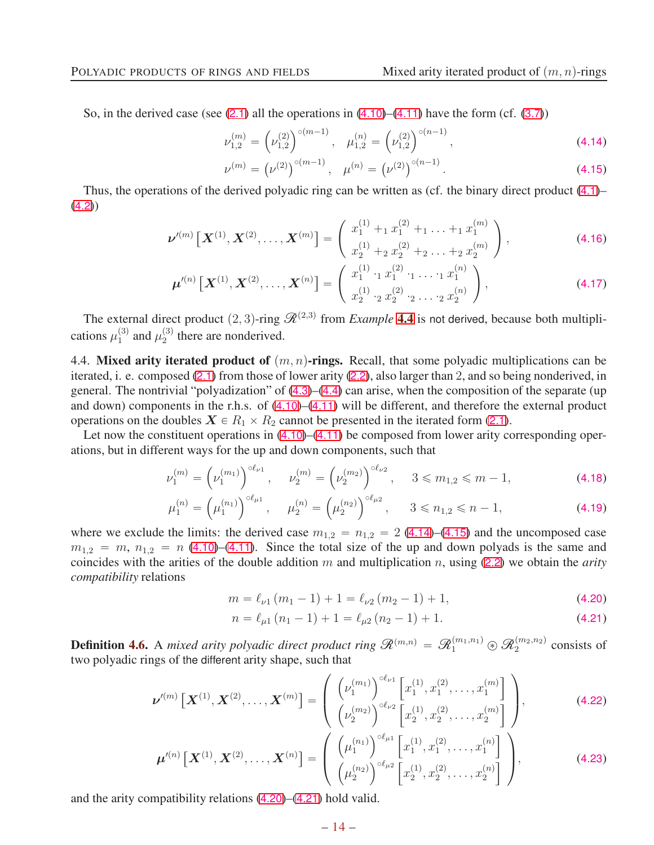So, in the derived case (see  $(2.1)$  $(2.1)$  $(2.1)$  all the operations in  $(4.10)$  $(4.10)$  $(4.10)$ – $(4.11)$  $(4.11)$  $(4.11)$  have the form (cf.  $(3.7)$  $(3.7)$  $(3.7)$ )

$$
\nu_{1,2}^{(m)} = \left(\nu_{1,2}^{(2)}\right)^{\circ(m-1)}, \quad \mu_{1,2}^{(n)} = \left(\nu_{1,2}^{(2)}\right)^{\circ(n-1)},\tag{4.14}
$$

<span id="page-13-6"></span><span id="page-13-5"></span><span id="page-13-2"></span><span id="page-13-1"></span>
$$
\nu^{(m)} = (\nu^{(2)})^{\circ (m-1)}, \quad \mu^{(n)} = (\nu^{(2)})^{\circ (n-1)}.
$$
\n(4.15)

Thus, the operations of the derived polyadic ring can be written as (cf. the binary direct product ([4.1](#page-10-2))–  $(4.2)$  $(4.2)$  $(4.2)$ 

$$
\nu'^{(m)}\left[\boldsymbol{X}^{(1)},\boldsymbol{X}^{(2)},\ldots,\boldsymbol{X}^{(m)}\right]=\left(\begin{array}{c}x_1^{(1)}+1\ x_1^{(2)}+1\ \ldots+1\ x_1^{(m)}\\x_2^{(1)}+2\ x_2^{(2)}+2\ \ldots+2\ x_2^{(m)}\end{array}\right),\tag{4.16}
$$

$$
\boldsymbol{\mu}^{\prime (n)}\left[\boldsymbol{X}^{(1)},\boldsymbol{X}^{(2)},\ldots,\boldsymbol{X}^{(n)}\right]=\left(\begin{array}{c}x_1^{(1)}\cdot_1 x_1^{(2)}\cdot_1\ldots\cdot_1 x_1^{(n)}\\x_2^{(1)}\cdot_2 x_2^{(2)}\cdot_2\ldots\cdot_2 x_2^{(n)}\end{array}\right),\tag{4.17}
$$

The external direct product  $(2, 3)$ -ring  $\mathcal{R}^{(2,3)}$  from *Example* [4.4](#page-12-3) is not derived, because both multiplications  $\mu_1^{(3)}$  $_1^{(3)}$  and  $\mu_2^{(3)}$  $_2^{(3)}$  there are nonderived.

<span id="page-13-0"></span>4.4. Mixed arity iterated product of  $(m, n)$ -rings. Recall, that some polyadic multiplications can be iterated, i. e. composed ([2.1](#page-2-1)) from those of lower arity ([2.2](#page-2-5)), also larger than 2, and so being nonderived, in general. The nontrivial "polyadization" of ([4.3](#page-11-1))–([4.4](#page-11-2)) can arise, when the composition of the separate (up and down) components in the r.h.s. of ([4.10](#page-12-1))–([4.11](#page-12-2)) will be different, and therefore the external product operations on the doubles  $X \in R_1 \times R_2$  cannot be presented in the iterated form ([2.1](#page-2-1)).

Let now the constituent operations in  $(4.10)$  $(4.10)$  $(4.10)$ – $(4.11)$  $(4.11)$  $(4.11)$  be composed from lower arity corresponding operations, but in different ways for the up and down components, such that

$$
\nu_1^{(m)} = \left(\nu_1^{(m_1)}\right)^{\circ \ell_{\nu 1}}, \quad \nu_2^{(m)} = \left(\nu_2^{(m_2)}\right)^{\circ \ell_{\nu 2}}, \quad 3 \leq m_{1,2} \leq m - 1,\tag{4.18}
$$

$$
\mu_1^{(n)} = \left(\mu_1^{(n_1)}\right)^{\circ \ell_{\mu 1}}, \quad \mu_2^{(n)} = \left(\mu_2^{(n_2)}\right)^{\circ \ell_{\mu 2}}, \quad 3 \le n_{1,2} \le n-1,
$$
\n(4.19)

where we exclude the limits: the derived case  $m_{1,2} = n_{1,2} = 2$  ([4.14](#page-13-1))–([4.15](#page-13-2)) and the uncomposed case  $m_{1,2} = m$ ,  $n_{1,2} = n$  ([4.10](#page-12-1))–([4.11](#page-12-2)). Since the total size of the up and down polyads is the same and coincides with the arities of the double addition m and multiplication n, using ([2.2](#page-2-5)) we obtain the *arity compatibility* relations

$$
m = \ell_{\nu 1} (m_1 - 1) + 1 = \ell_{\nu 2} (m_2 - 1) + 1,
$$
\n(4.20)

<span id="page-13-4"></span><span id="page-13-3"></span>
$$
n = \ell_{\mu 1} (n_1 - 1) + 1 = \ell_{\mu 2} (n_2 - 1) + 1.
$$
 (4.21)

<span id="page-13-7"></span>**Definition 4.6.** A *mixed arity polyadic direct product ring*  $\mathcal{R}^{(m,n)} = \mathcal{R}_1^{(m_1,n_1)} \circledast \mathcal{R}_2^{(m_2,n_2)}$  consists of two polyadic rings of the different arity shape, such that

$$
\nu^{(m)}\left[\boldsymbol{X}^{(1)},\boldsymbol{X}^{(2)},\ldots,\boldsymbol{X}^{(m)}\right]=\left(\begin{array}{c} \left(\nu_1^{(m_1)}\right)^{\circ\ell_{\nu 1}}\left[x_1^{(1)},x_1^{(2)},\ldots,x_1^{(m)}\right] \\ \left(\nu_2^{(m_2)}\right)^{\circ\ell_{\nu 2}}\left[x_2^{(1)},x_2^{(2)},\ldots,x_2^{(m)}\right] \end{array}\right),\tag{4.22}
$$

$$
\boldsymbol{\mu}^{\prime (n)} \left[ \boldsymbol{X}^{(1)}, \boldsymbol{X}^{(2)}, \ldots, \boldsymbol{X}^{(n)} \right] = \left( \begin{array}{c} \left( \mu_1^{(n_1)} \right)^{\circ \ell_{\mu_1}} \left[ x_1^{(1)}, x_1^{(2)}, \ldots, x_1^{(n)} \right] \\ \left( \mu_2^{(n_2)} \right)^{\circ \ell_{\mu_2}} \left[ x_2^{(1)}, x_2^{(2)}, \ldots, x_2^{(n)} \right] \end{array} \right), \tag{4.23}
$$

and the arity compatibility relations ([4.20](#page-13-3))–([4.21](#page-13-4)) hold valid.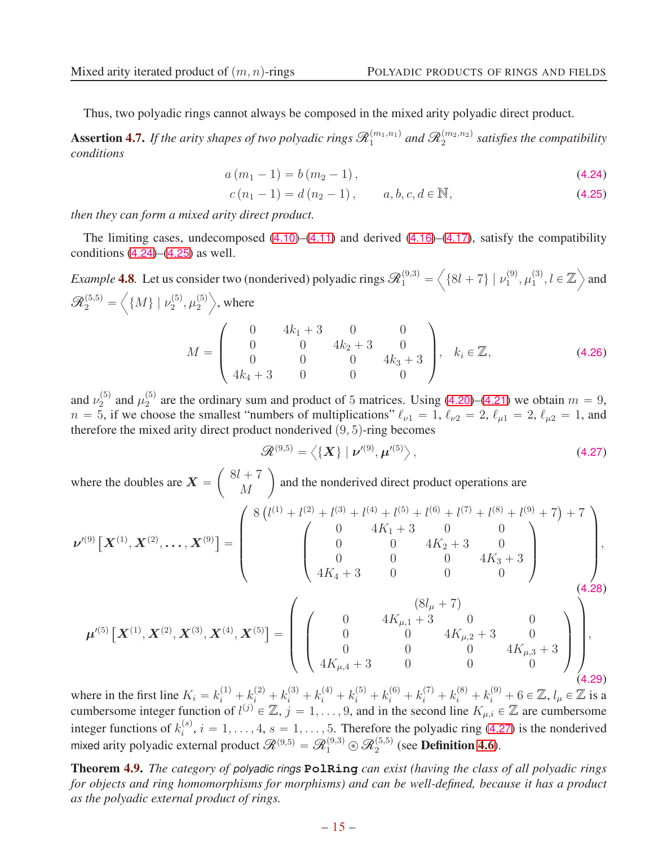Thus, two polyadic rings cannot always be composed in the mixed arity polyadic direct product.

**Assertion 4.7.** If the arity shapes of two polyadic rings  $\mathscr{R}_1^{(m_1,n_1)}$  and  $\mathscr{R}_2^{(m_2,n_2)}$  satisfies the compatibility *conditions*

$$
a(m_1 - 1) = b(m_2 - 1), \tag{4.24}
$$

<span id="page-14-1"></span><span id="page-14-0"></span>
$$
c(n_1 - 1) = d(n_2 - 1), \qquad a, b, c, d \in \mathbb{N}, \tag{4.25}
$$

*then they can form a mixed arity direct product.*

The limiting cases, undecomposed  $(4.10)$  $(4.10)$  $(4.10)$ – $(4.11)$  $(4.11)$  $(4.11)$  and derived  $(4.16)$  $(4.16)$  $(4.16)$ – $(4.17)$  $(4.17)$  $(4.17)$ , satisfy the compatibility conditions  $(4.24)$  $(4.24)$  $(4.24)$ – $(4.25)$  $(4.25)$  $(4.25)$  as well.

*Example* **4.8**. Let us consider two (nonderived) polyadic rings  $\mathcal{R}_1^{(9,3)}$  =  $\left\langle \{8l + 7\} \; | \; \nu_1^{(9)} \right\rangle$  $\overset{(9)}{1}, \overset{(3)}{\mu_1^{(3)}}$  $\binom{3}{1}, l \in \mathbb{Z}$  and  $\mathscr{R}^{(5,5)}_2 =$  $\left\langle \left\{ M\right\} \mid \nu_{2}^{(5)}\right.$  $\mathfrak{u}_2^{(5)}, \mathfrak{\mu}_2^{(5)}$ 2  $\rangle$ , where  $M =$  $\sqrt{ }$  $\overline{\phantom{a}}$ 0  $4k_1 + 3$  0 0 0  $0 \t 4k_2 + 3 = 0$ 0 0  $4k_3 + 3$  $4k_4 + 3 = 0$  0 0  $\sqrt{2}$  $\Bigg\},\quad k_i\in\mathbb{Z},\tag{4.26}$ 

and  $\nu_2^{(5)}$  $\frac{(5)}{2}$  and  $\mu_2^{(5)}$ <sup>(5)</sup> are the ordinary sum and product of 5 matrices. Using ([4.20](#page-13-3))–([4.21](#page-13-4)) we obtain  $m = 9$ ,  $n = 5$ , if we choose the smallest "numbers of multiplications"  $\ell_{\nu1} = 1$ ,  $\ell_{\nu2} = 2$ ,  $\ell_{\mu1} = 2$ ,  $\ell_{\mu2} = 1$ , and therefore the mixed arity direct product nonderived  $(9, 5)$ -ring becomes

<span id="page-14-2"></span>
$$
\mathscr{R}^{(9,5)} = \left\langle \{\mathbf{X}\} \mid \boldsymbol{\nu}'^{(9)}, \boldsymbol{\mu}'^{(5)} \right\rangle, \tag{4.27}
$$

where the doubles are  $X =$  $\int 8l + 7$ M ˙ and the nonderived direct product operations are

$$
\nu^{(9)}\left[\mathbf{X}^{(1)},\mathbf{X}^{(2)},\ldots,\mathbf{X}^{(9)}\right] = \begin{pmatrix} 8\left(l^{(1)}+l^{(2)}+l^{(3)}+l^{(4)}+l^{(5)}+l^{(6)}+l^{(7)}+l^{(8)}+l^{(9)}+7\right)+7\\ 0 & 4K_1+3 & 0 & 0\\ 0 & 0 & 4K_2+3 & 0\\ 4K_4+3 & 0 & 0 & 0 \end{pmatrix},
$$
\n
$$
\mu'^{(5)}\left[\mathbf{X}^{(1)},\mathbf{X}^{(2)},\mathbf{X}^{(3)},\mathbf{X}^{(4)},\mathbf{X}^{(5)}\right] = \begin{pmatrix} 0 & 4K_{\mu,1}+3 & 0 & 0\\ 0 & 0 & 4K_{\mu,2}+3 & 0\\ 0 & 0 & 0 & 4K_{\mu,2}+3 & 0\\ 0 & 0 & 0 & 0 & 4K_{\mu,3}+3\\ 4K_{\mu,4}+3 & 0 & 0 & 0 \end{pmatrix},
$$
\n
$$
(4.28)
$$
\n
$$
(4.29)
$$

where in the first line  $K_i = k_i^{(1)} + k_i^{(2)} + k_i^{(3)} + k_i^{(4)} + k_i^{(5)} + k_i^{(6)} + k_i^{(7)} + k_i^{(8)} + k_i^{(9)} + 6 \in \mathbb{Z}$ ,  $l_\mu \in \mathbb{Z}$  is a cumbersome integer function of  $l^{(j)} \in \mathbb{Z}$ ,  $j = 1, \ldots, 9$ , and in the second line  $K_{\mu,i} \in \mathbb{Z}$  are cumbersome integer functions of  $k_i^{(s)}$  $i_j^{(s)}$ ,  $i = 1, \ldots, 4$ ,  $s = 1, \ldots, 5$ . Therefore the polyadic ring ([4.27](#page-14-2)) is the nonderived mixed arity polyadic external product  $\mathcal{R}^{(9,5)} = \mathcal{R}_1^{(9,3)} \circledast \mathcal{R}_2^{(5,5)}$  (see **Definition [4.6](#page-13-7)**).

Theorem 4.9. *The category of polyadic rings* **PolRing** *can exist (having the class of all polyadic rings for objects and ring homomorphisms for morphisms) and can be well-defined, because it has a product as the polyadic external product of rings.*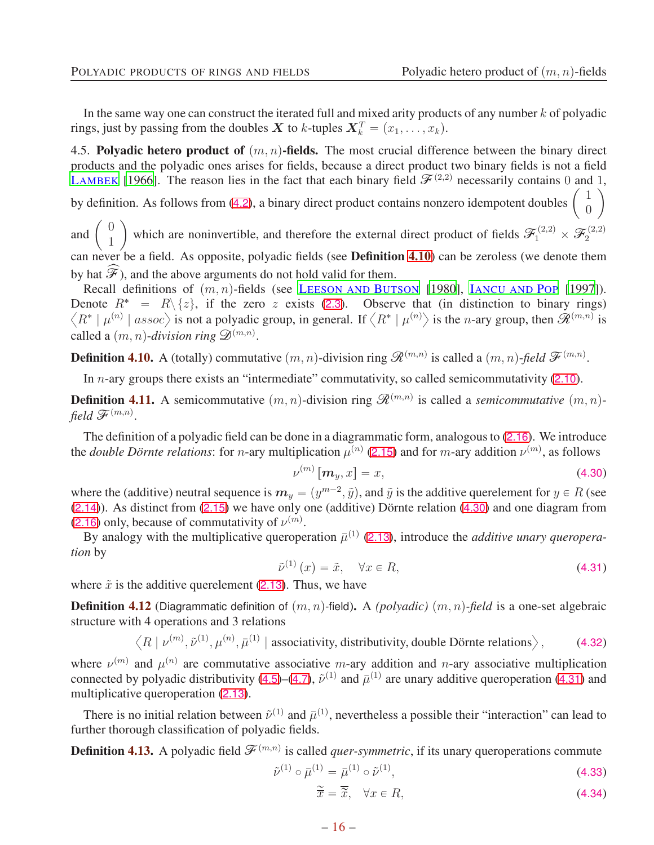In the same way one can construct the iterated full and mixed arity products of any number  $k$  of polyadic rings, just by passing from the doubles  $\boldsymbol{X}$  to k-tuples  $\boldsymbol{X}_k^T = (x_1, \dots, x_k)$ .

<span id="page-15-0"></span>4.5. Polyadic hetero product of  $(m, n)$ -fields. The most crucial difference between the binary direct products and the polyadic ones arises for fields, because a direct product two binary fields is not a field L[AMBEK](#page-20-2) [\[1966](#page-20-2)]. The reason lies in the fact that each binary field  $\mathscr{F}^{(2,2)}$  necessarily contains 0 and 1, 1 ˙

by definition. As follows from ([4.2](#page-10-3)), a binary direct product contains nonzero idempotent doubles  $\overline{0}$ 

and  $\begin{pmatrix} 0 \\ 1 \end{pmatrix}$ 1 which are noninvertible, and therefore the external direct product of fields  $\mathcal{F}_1^{(2,2)} \times \mathcal{F}_2^{(2,2)}$ can never be a field. As opposite, polyadic fields (see **Definition [4.10](#page-15-1)**) can be zeroless (we denote them by hat  $\mathcal{F}$ ), and the above arguments do not hold valid for them.

Recall definitions of  $(m, n)$ -fields (see LEESON AND BUTSON [1980], IANCU AND POP [1997]). Denote  $R^* = R\{z\}$ , if the zero z exists ([2.3](#page-2-0)). Observe that (in distinction to binary rings)  $\langle R^* | \mu^{(n)} |$  assoc $\rangle$  is not a polyadic group, in general. If  $\langle R^* | \mu^{(n)} \rangle$  is the n-ary group, then  $\tilde{R}^{(m,n)}$  is called a  $(m, n)$ -*division ring*  $\mathscr{D}^{(m,n)}$ .

<span id="page-15-1"></span>**Definition 4.10.** A (totally) commutative  $(m, n)$ -division ring  $\mathcal{R}^{(m,n)}$  is called a  $(m, n)$ -*field*  $\mathcal{F}^{(m,n)}$ .

In *n*-ary groups there exists an "intermediate" commutativity, so called semicommutativity ([2.10](#page-3-5)).

<span id="page-15-5"></span>**Definition 4.11.** A semicommutative  $(m, n)$ -division ring  $\mathcal{R}^{(m,n)}$  is called a *semicommutative*  $(m, n)$ field  $\mathscr{F}^{(m,n)}$ .

The definition of a polyadic field can be done in a diagrammatic form, analogous to ([2.16](#page-3-6)). We introduce the *double Dörnte relations*: for *n*-ary multiplication  $\mu^{(n)}$  ([2.15](#page-3-3)) and for *m*-ary addition  $\nu^{(m)}$ , as follows

<span id="page-15-2"></span>
$$
\nu^{(m)}\left[\boldsymbol{m}_y, x\right] = x,\tag{4.30}
$$

where the (additive) neutral sequence is  $m_y = (y^{m-2}, \tilde{y})$ , and  $\tilde{y}$  is the additive querelement for  $y \in R$  (see  $(2.14)$  $(2.14)$  $(2.14)$ ). As distinct from  $(2.15)$  $(2.15)$  $(2.15)$  we have only one (additive) Dörnte relation  $(4.30)$  $(4.30)$  $(4.30)$  and one diagram from ([2.16](#page-3-6)) only, because of commutativity of  $\nu^{(m)}$ .

By analogy with the multiplicative queroperation  $\bar{\mu}^{(1)}$  ([2.13](#page-3-4)), introduce the *additive unary queroperation* by

<span id="page-15-3"></span>
$$
\tilde{\nu}^{(1)}\left(x\right) = \tilde{x}, \quad \forall x \in R,\tag{4.31}
$$

where  $\tilde{x}$  is the additive querelement ([2.13](#page-3-4)). Thus, we have

**Definition 4.12** (Diagrammatic definition of  $(m, n)$ -field). A *(polyadic)*  $(m, n)$ -field is a one-set algebraic structure with 4 operations and 3 relations

$$
\langle R \mid \nu^{(m)}, \tilde{\nu}^{(1)}, \mu^{(n)}, \bar{\mu}^{(1)} \mid
$$
 associativity, distributivity, double Dörnte relations  $\rangle$ , (4.32)

where  $\nu^{(m)}$  and  $\mu^{(n)}$  are commutative associative m-ary addition and n-ary associative multiplication connected by polyadic distributivity ([4.5](#page-11-3))–([4.7](#page-11-4)),  $\tilde{\nu}^{(1)}$  and  $\bar{\mu}^{(1)}$  are unary additive queroperation ([4.31](#page-15-3)) and multiplicative queroperation ([2.13](#page-3-4)).

There is no initial relation between  $\tilde{\nu}^{(1)}$  and  $\bar{\mu}^{(1)}$ , nevertheless a possible their "interaction" can lead to further thorough classification of polyadic fields.

**Definition 4.13.** A polyadic field  $\mathcal{F}^{(m,n)}$  is called *quer-symmetric*, if its unary queroperations commute

$$
\tilde{\nu}^{(1)} \circ \bar{\mu}^{(1)} = \bar{\mu}^{(1)} \circ \tilde{\nu}^{(1)},\tag{4.33}
$$

<span id="page-15-6"></span><span id="page-15-4"></span>
$$
\widetilde{\overline{x}} = \overline{\widetilde{x}}, \quad \forall x \in R,\tag{4.34}
$$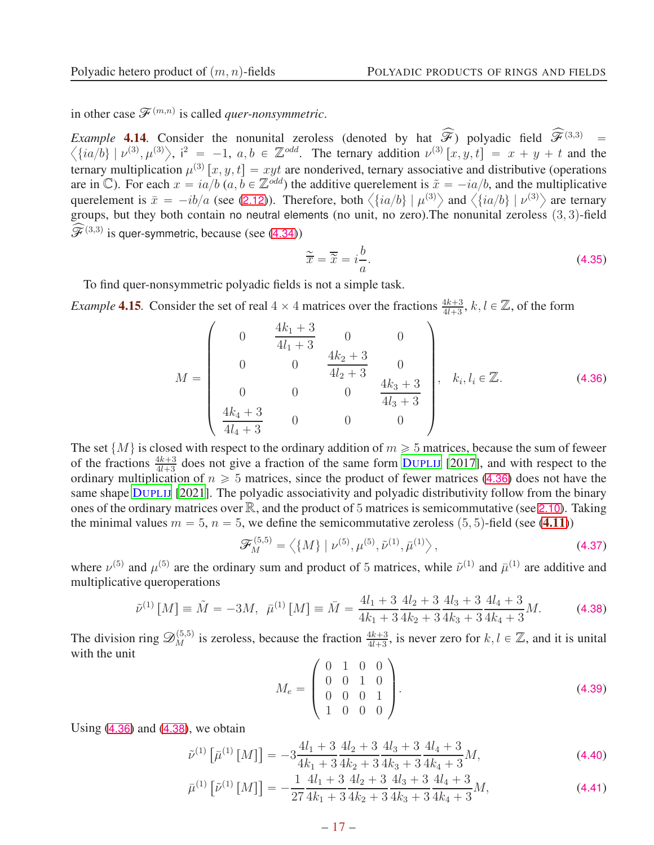in other case  $\mathscr{F}^{(m,n)}$  is called *quer-nonsymmetric*.

<span id="page-16-3"></span>*Example* **4.14** Consider the nonunital zeroless (denoted by hat  $\widehat{\mathcal{F}}$ ) polyadic field  $\widehat{\mathcal{F}}^{(3,3)}$  =  $\left\langle \{ia/b\} \mid \nu^{(3)}, \mu^{(3)} \right\rangle$ , i<sup>2</sup> = -1, a, b  $\in \mathbb{Z}^{odd}$ . The ternary addition  $\nu^{(3)}[x, y, t] = x + y + t$  and the ternary multiplication  $\mu^{(3)}[x, y, t] = xyt$  are nonderived, ternary associative and distributive (operations are in C). For each  $x = ia/b$  (a,  $b \in \mathbb{Z}^{odd}$ ) the additive querelement is  $\tilde{x} = -ia/b$ , and the multiplicative querelement is  $\bar{x} = -ib/a$  (see ([2.12](#page-3-2))). Therefore, both  $\langle \{ia/b\} | \mu^{(3)} \rangle$  and  $\langle \{ia/b\} | \nu^{(3)} \rangle$  are ternary groups, but they both contain no neutral elements (no unit, no zero). The nonunital zeroless  $(3, 3)$ -field  $\widehat{\mathscr{F}}^{(3,3)}$  is quer-symmetric, because (see ([4.34](#page-15-4)))

$$
\widetilde{\overline{x}} = \overline{\widetilde{x}} = i \frac{b}{a}.\tag{4.35}
$$

To find quer-nonsymmetric polyadic fields is not a simple task.

*Example* **4.15**. Consider the set of real  $4 \times 4$  matrices over the fractions  $\frac{4k+3}{4l+3}$ ,  $k, l \in \mathbb{Z}$ , of the form

<span id="page-16-0"></span>
$$
M = \begin{pmatrix} 0 & \frac{4k_1 + 3}{4l_1 + 3} & 0 & 0 \\ 0 & 0 & \frac{4k_2 + 3}{4l_2 + 3} & 0 \\ 0 & 0 & 0 & \frac{4k_3 + 3}{4l_3 + 3} \\ \frac{4k_4 + 3}{4l_4 + 3} & 0 & 0 & 0 \end{pmatrix}, \quad k_i, l_i \in \mathbb{Z}.
$$
 (4.36)

The set  $\{M\}$  is closed with respect to the ordinary addition of  $m \geq 5$  matrices, because the sum of feweer of the fractions  $\frac{4k+3}{4l+3}$  does not give a fraction of the same form D[UPLIJ](#page-20-10) [\[2017\]](#page-20-10), and with respect to the ordinary multiplication of  $n \ge 5$  matrices, since the product of fewer matrices ([4.36](#page-16-0)) does not have the same shape D[UPLIJ](#page-20-20) [\[2021](#page-20-20)]. The polyadic associativity and polyadic distributivity follow from the binary ones of the ordinary matrices over  $\mathbb{R}$ , and the product of 5 matrices is semicommutative (see [2.10](#page-3-5)). Taking the minimal values  $m = 5$ ,  $n = 5$ , we define the semicommutative zeroless  $(5, 5)$ -field (see ([4.11](#page-15-5)))

<span id="page-16-2"></span>
$$
\mathcal{F}_{M}^{(5,5)} = \left\langle \{M\} \mid \nu^{(5)}, \mu^{(5)}, \tilde{\nu}^{(1)}, \bar{\mu}^{(1)} \right\rangle, \tag{4.37}
$$

where  $\nu^{(5)}$  and  $\mu^{(5)}$  are the ordinary sum and product of 5 matrices, while  $\tilde{\nu}^{(1)}$  and  $\bar{\mu}^{(1)}$  are additive and multiplicative queroperations

<span id="page-16-1"></span>
$$
\tilde{\nu}^{(1)}\left[M\right] \equiv \tilde{M} = -3M, \ \ \bar{\mu}^{(1)}\left[M\right] \equiv \bar{M} = \frac{4l_1 + 3}{4k_1 + 3} \frac{4l_2 + 3}{4k_2 + 3} \frac{4l_3 + 3}{4k_3 + 3} \frac{4l_4 + 3}{4k_4 + 3} M. \tag{4.38}
$$

The division ring  $\mathscr{D}_{M}^{(5,5)}$  is zeroless, because the fraction  $\frac{4k+3}{4l+3}$ , is never zero for  $k, l \in \mathbb{Z}$ , and it is unital with the unit

$$
M_e = \begin{pmatrix} 0 & 1 & 0 & 0 \\ 0 & 0 & 1 & 0 \\ 0 & 0 & 0 & 1 \\ 1 & 0 & 0 & 0 \end{pmatrix} .
$$
 (4.39)

Using  $(4.36)$  $(4.36)$  $(4.36)$  and  $(4.38)$  $(4.38)$  $(4.38)$ , we obtain

$$
\tilde{\nu}^{(1)}\left[\bar{\mu}^{(1)}\left[M\right]\right] = -3\frac{4l_1 + 3}{4k_1 + 3}\frac{4l_2 + 3}{4k_2 + 3}\frac{4l_3 + 3}{4k_3 + 3}\frac{4l_4 + 3}{4k_4 + 3}M,\tag{4.40}
$$

$$
\bar{\mu}^{(1)}\left[\tilde{\nu}^{(1)}\left[M\right]\right] = -\frac{1}{27} \frac{4l_1 + 3}{4k_1 + 3} \frac{4l_2 + 3}{4k_2 + 3} \frac{4l_3 + 3}{4k_3 + 3} \frac{4l_4 + 3}{4k_4 + 3} M,\tag{4.41}
$$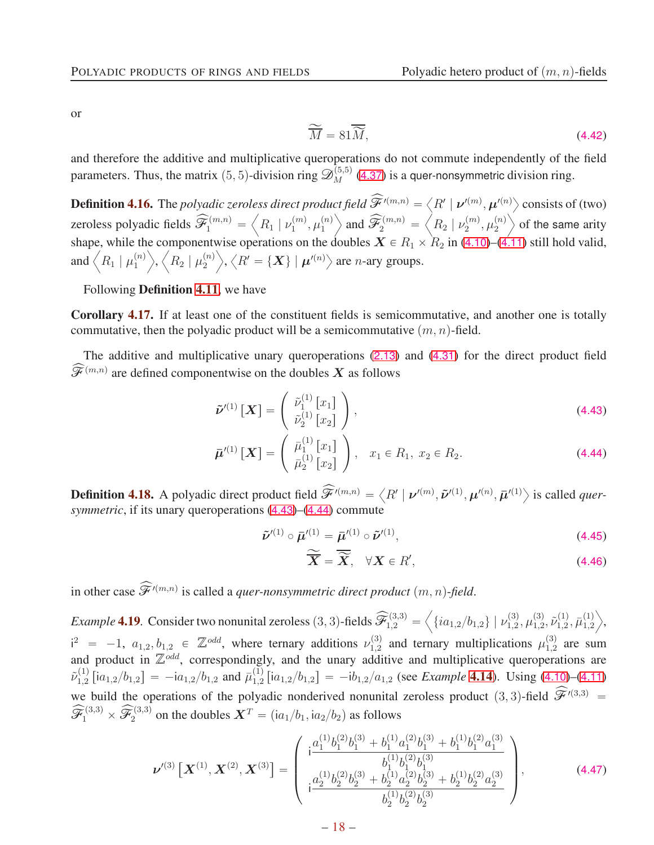or

<span id="page-17-4"></span>
$$
\widetilde{\overline{M}} = 81\overline{\widetilde{M}},\tag{4.42}
$$

and therefore the additive and multiplicative queroperations do not commute independently of the field parameters. Thus, the matrix (5, 5)-division ring  $\mathscr{D}_{M}^{(5,5)}$  ([4.37](#page-16-2)) is a quer-nonsymmetric division ring.

**Definition 4.16.** The *polyadic zeroless direct product field*  $\widehat{\mathcal{F}}'^{(m,n)} = \left\langle R' \mid \boldsymbol{\nu}'^{(m)}, \boldsymbol{\mu}'^{(n)} \right\rangle$  consists of (two) zeroless polyadic fields  $\widehat{\mathscr{F}}_1^{(m,n)}$  =  $\left\langle R_{1} \mid \nu_{1}^{(m)} \right\rangle$  $\mathfrak{m}^{(m)}_1, \mathfrak{\mu}^{(n)}_1$ 1  $\Big\}$  and  $\widehat{\mathcal{F}}_{2}^{\left(m,n\right)}=$  $\left\langle R_{2}\mid\nu_{2}^{(m)}\right\rangle$  $\mu_2^{(m)},\mu_2^{(n)}$ 2  $\searrow$  of the same arity shape, while the componentwise operations on the doubles  $X \in R_1 \times R_2$  in ([4.10](#page-12-1))–([4.11](#page-12-2)) still hold valid, and  $\left\langle R_{1} \mid \mu_{1}^{(n)} \right\rangle$ 1  $\left\langle \right\rangle ,\left\langle \right. \right. \overline{R_{2}}\left. \right\vert \left. \mu_{2}^{\left( n\right) }\right.$ 2  $\left\langle \mathcal{R}^{\prime} = \{ \boldsymbol{X} \} \mid \boldsymbol{\mu}^{\prime(n)} \right\rangle$  are *n*-ary groups.

Following Definition [4.11](#page-15-5), we have

Corollary 4.17. If at least one of the constituent fields is semicommutative, and another one is totally commutative, then the polyadic product will be a semicommutative  $(m, n)$ -field.

The additive and multiplicative unary queroperations ([2.13](#page-3-4)) and ([4.31](#page-15-3)) for the direct product field  $\widehat{\mathcal{F}}^{(m,n)}$  are defined componentwise on the doubles  $X$  as follows

$$
\tilde{\nu}^{\prime(1)}\left[\boldsymbol{X}\right] = \begin{pmatrix} \tilde{\nu}_1^{(1)}\left[x_1\right] \\ \tilde{\nu}_2^{(1)}\left[x_2\right] \end{pmatrix},\tag{4.43}
$$

$$
\bar{\boldsymbol{\mu}}'^{(1)}\left[\boldsymbol{X}\right] = \left(\begin{array}{c} \bar{\mu}_1^{(1)}\left[x_1\right] \\ \bar{\mu}_2^{(1)}\left[x_2\right] \end{array}\right), \quad x_1 \in R_1, \ x_2 \in R_2. \tag{4.44}
$$

**Definition 4.18.** A polyadic direct product field  $\widehat{\mathcal{F}}^{\prime(m,n)} = \langle R' | \nu^{\prime(m)}, \tilde{\nu}^{\prime(1)}, \mu^{\prime(n)}, \bar{\mu}^{\prime(1)} \rangle$  is called *quersymmetric*, if its unary queroperations ([4.43](#page-17-0))–([4.44](#page-17-1)) commute

$$
\tilde{\nu}'^{(1)} \circ \bar{\mu}'^{(1)} = \bar{\mu}'^{(1)} \circ \tilde{\nu}'^{(1)},
$$
\n(4.45)

<span id="page-17-3"></span><span id="page-17-2"></span><span id="page-17-1"></span><span id="page-17-0"></span>
$$
\widetilde{\overline{X}} = \overline{\widetilde{X}}, \quad \forall X \in R', \tag{4.46}
$$

in other case  $\widehat{\mathcal{F}}^{\prime (m,n)}$  is called a *quer-nonsymmetric direct product*  $(m, n)$ -*field*.

*Example* **4.19**. Consider two nonunital zeroless  $(3, 3)$ -fields  $\widehat{\mathcal{F}}_{1,2}^{(3,3)}$  =  $\left\langle \{ia_{1,2}/b_{1,2}\}\mid \nu_{1,2}^{(3)}\right.$  $\chi_{1,2}^{(3)}, \mu_{1,2}^{(3)}$  $\widetilde{\nu}_{1,2}^{(1)}, \widetilde{\nu}_{1,2}^{(1)}$  $\bar{\mu}^{(1)}_{1,2}, \bar{\mu}^{(1)}_{1,2}$ 1,2  $\Bigr\rangle,$  $i^2$  = -1,  $a_{1,2}, b_{1,2} \in \mathbb{Z}^{odd}$ , where ternary additions  $\nu_{1,2}^{(3)}$  $\mu_{1,2}^{(3)}$  and ternary multiplications  $\mu_{1,2}^{(3)}$  $_{1,2}^{(3)}$  are sum and product in  $\mathbb{Z}^{odd}$ , correspondingly, and the unary additive and multiplicative queroperations are  $\tilde{\nu}_{1.2}^{(1)}$  $\bar{h}_{1,2}^{(1)}$  [i $a_{1,2}/b_{1,2}$ ] =  $-ia_{1,2}/b_{1,2}$  and  $\bar{\mu}_{1,2}^{(1)}$  $\int_{1,2}^{(1)} [ia_{1,2}/b_{1,2}] = -ib_{1,2}/a_{1,2}$  (see *Example* [4.14](#page-16-3)). Using ([4.10](#page-12-1))–([4.11](#page-12-2)) we build the operations of the polyadic nonderived nonunital zeroless product  $(3, 3)$ -field  $\widehat{\mathscr{F}}'^{(3,3)}$  =  $\widehat{\mathcal{F}}_1^{(3,3)} \times \widehat{\mathcal{F}}_2^{(3,3)}$  on the doubles  $\bm{X}^T = (i a_1/b_1, i a_2/b_2)$  as follows

$$
\boldsymbol{\nu}^{(3)}\left[\boldsymbol{X}^{(1)},\boldsymbol{X}^{(2)},\boldsymbol{X}^{(3)}\right] = \begin{pmatrix} i\frac{a_1^{(1)}b_1^{(2)}b_1^{(3)} + b_1^{(1)}a_1^{(2)}b_1^{(3)} + b_1^{(1)}b_1^{(2)}a_1^{(3)}}{b_1^{(1)}b_1^{(2)}b_1^{(3)}}\\ i\frac{a_2^{(1)}b_2^{(2)}b_2^{(3)} + b_2^{(1)}a_2^{(2)}b_2^{(3)} + b_2^{(1)}b_2^{(2)}a_2^{(3)}}{b_2^{(1)}b_2^{(2)}b_2^{(3)}} \end{pmatrix},\tag{4.47}
$$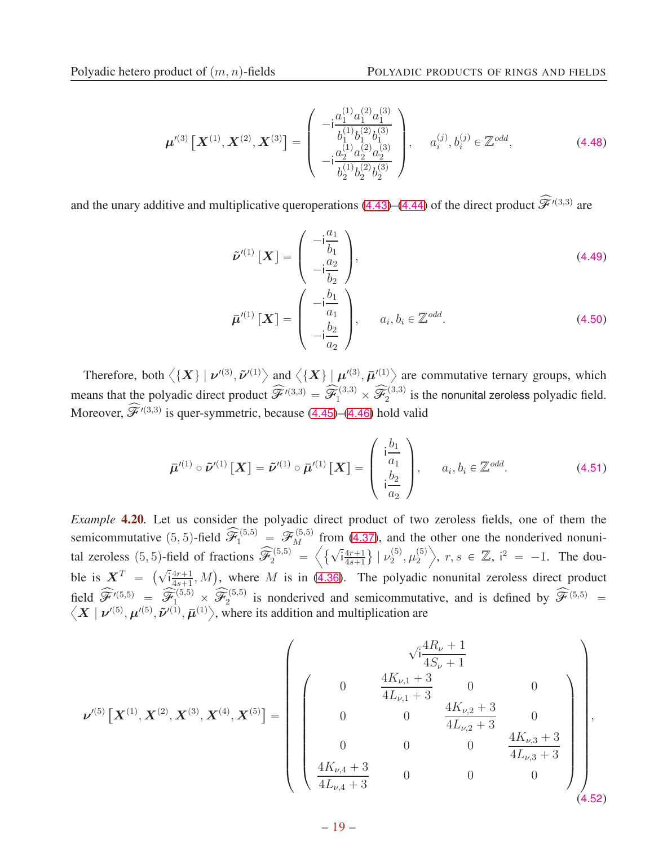$$
\boldsymbol{\mu}'^{(3)}\left[\boldsymbol{X}^{(1)},\boldsymbol{X}^{(2)},\boldsymbol{X}^{(3)}\right] = \begin{pmatrix} -i\frac{a_1^{(1)}a_1^{(2)}a_1^{(3)}}{b_1^{(1)}b_1^{(2)}b_1^{(3)}}\\ -i\frac{a_2^{(1)}a_2^{(2)}a_2^{(3)}}{b_2^{(1)}b_2^{(2)}b_2^{(3)}} \end{pmatrix}, \quad a_i^{(j)},b_i^{(j)} \in \mathbb{Z}^{odd}, \tag{4.48}
$$

and the unary additive and multiplicative queroperations ([4.43](#page-17-0))–([4.44](#page-17-1)) of the direct product  $\widehat{\mathscr{F}}'^{(3,3)}$  are

$$
\tilde{\nu}^{(1)}\left[\boldsymbol{X}\right] = \begin{pmatrix} -\mathrm{i}\frac{a_1}{b_1} \\ -\mathrm{i}\frac{a_2}{b_2} \end{pmatrix},\tag{4.49}
$$
\n
$$
\bar{\boldsymbol{\mu}}^{(1)}\left[\boldsymbol{X}\right] = \begin{pmatrix} -\mathrm{i}\frac{b_1}{a_1} \\ -\mathrm{i}\frac{b_2}{a_2} \end{pmatrix},\quad a_i, b_i \in \mathbb{Z}^{odd}.\tag{4.50}
$$

Therefore, both  $\langle \{X\} | \nu^{(3)}, \tilde{\nu}^{(1)} \rangle$  and  $\langle \{X\} | \mu^{(3)}, \bar{\mu}^{(1)} \rangle$  are commutative ternary groups, which means that the polyadic direct product  $\widehat{\mathscr{F}}'^{(3,3)} = \widehat{\mathscr{F}}_1^{(3,3)} \times \widehat{\mathscr{F}}_2^{(3,3)}$  is the nonunital zeroless polyadic field. Moreover,  $\widehat{\mathscr{F}}^{\prime(3,3)}$  is quer-symmetric, because ([4.45](#page-17-2))–([4.46](#page-17-3)) hold valid

 $a_2$ 

$$
\bar{\boldsymbol{\mu}}'^{(1)} \circ \tilde{\boldsymbol{\nu}}'^{(1)}\left[\boldsymbol{X}\right] = \tilde{\boldsymbol{\nu}}'^{(1)} \circ \bar{\boldsymbol{\mu}}'^{(1)}\left[\boldsymbol{X}\right] = \begin{pmatrix} i\frac{b_1}{a_1} \\ \vdots \\ i\frac{b_2}{a_2} \end{pmatrix}, \quad a_i, b_i \in \mathbb{Z}^{odd}.
$$
 (4.51)

*Example* **4.20***.* Let us consider the polyadic direct product of two zeroless fields, one of them the semicommutative  $(5, 5)$ -field  $\widehat{\mathcal{F}}_1^{(5,5)} = \mathcal{F}_M^{(5,5)}$  from ([4.37](#page-16-2)), and the other one the nonderived nonunital zeroless (5, 5)-field of fractions  $\widehat{\mathscr{F}}_2^{(5,5)} = \left\langle \sqrt{\mathbf{i} \frac{4r+1}{4s+1}} \right\rangle$  $\frac{4r+1}{4s+1}\}\mid \nu_2^{(5)}$  $\mathfrak{c}_2^{(5)}, \mathfrak{\mu}_2^{(5)}$ 2  $\Big\}, r, s \in \mathbb{Z}, i^2 = -1$ . The double is  $X^T = \left(\sqrt{\frac{4r+1}{4s+1}}\right)$  $\frac{4r+1}{4s+1}$ , M), where M is in ([4.36](#page-16-0)). The polyadic nonunital zeroless direct product field  $\widehat{\mathscr{F}}^{\prime(5,5)} = \widehat{\mathscr{F}}_1^{(5,5)} \times \widehat{\mathscr{F}}_2^{(5,5)}$ field  $\hat{\mathcal{F}}^{\{5,5\}} = \hat{\mathcal{F}}_1^{(5,5)} \times \hat{\mathcal{F}}_2^{(5,5)}$  is nonderived and semicommutative, and is defined by  $\hat{\mathcal{F}}^{(5,5)} = \langle \mathbf{X} | \mathbf{v}^{\prime(5)}, \mathbf{\mu}^{\prime(5)}, \tilde{\mathbf{\mu}}^{\prime(1)}, \bar{\mathbf{\mu}}^{\prime(1)} \rangle$ , where its addition and mu

$$
\nu^{(5)}\left[\boldsymbol{X}^{(1)},\boldsymbol{X}^{(2)},\boldsymbol{X}^{(3)},\boldsymbol{X}^{(4)},\boldsymbol{X}^{(5)}\right]=\left(\begin{array}{cccc} & & & & \sqrt{i}\frac{4R_{\nu}+1}{4S_{\nu}+1} \\ 0 & \frac{4K_{\nu,1}+3}{4L_{\nu,1}+3} & 0 & 0 \\ 0 & 0 & \frac{4K_{\nu,2}+3}{4L_{\nu,2}+3} & 0 \\ 0 & 0 & 0 & \frac{4K_{\nu,3}+3}{4L_{\nu,3}+3} \\ \frac{4K_{\nu,4}+3}{4L_{\nu,4}+3} & 0 & 0 & 0 \end{array}\right),\tag{4.52}
$$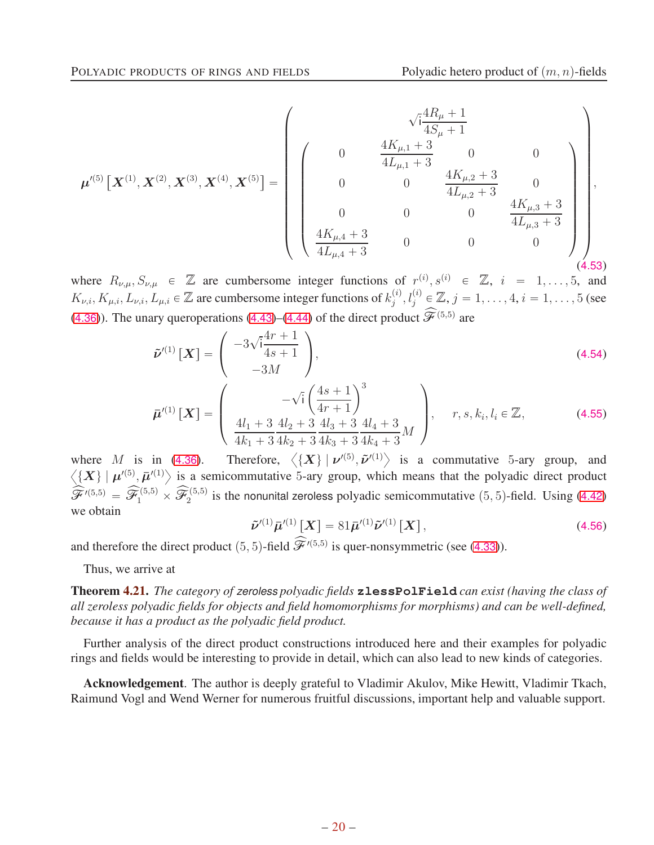$$
\mu'^{(5)}\left[\mathbf{X}^{(1)},\mathbf{X}^{(2)},\mathbf{X}^{(3)},\mathbf{X}^{(4)},\mathbf{X}^{(5)}\right] = \left(\begin{array}{cccc} & & & \sqrt{i}\frac{4R_{\mu}+1}{4S_{\mu}+1} \\ 0 & \frac{4K_{\mu,1}+3}{4L_{\mu,1}+3} & 0 & 0 \\ 0 & 0 & \frac{4K_{\mu,2}+3}{4L_{\mu,2}+3} & 0 \\ 0 & 0 & 0 & \frac{4K_{\mu,3}+3}{4L_{\mu,3}+3} \\ \frac{4K_{\mu,4}+3}{4L_{\mu,4}+3} & 0 & 0 & 0 \end{array}\right),\tag{4.53}
$$

where  $R_{\nu,\mu}, S_{\nu,\mu} \in \mathbb{Z}$  are cumbersome integer functions of  $r^{(i)}, s^{(i)} \in \mathbb{Z}$ ,  $i = 1, \ldots, 5$ , and  $K_{\nu,i}, K_{\mu,i}, L_{\nu,i}, L_{\mu,i} \in \mathbb{Z}$  are cumbersome integer functions of  $k_j^{(i)}$  $j^{(i)}, l_j^{(i)} \in \mathbb{Z}, j = 1, \dots, 4, i = 1, \dots, 5$  (see ([4.36](#page-16-0))). The unary queroperations ([4.43](#page-17-0))–([4.44](#page-17-1)) of the direct product  $\widehat{\mathscr{F}}^{(5,5)}$  are

$$
\tilde{\nu}^{(1)}\left[\boldsymbol{X}\right] = \begin{pmatrix} -3\sqrt{1} \frac{4r+1}{4s+1} \\ -3M \end{pmatrix},\tag{4.54}
$$

$$
\bar{\boldsymbol{\mu}}'^{(1)}\left[\boldsymbol{X}\right] = \begin{pmatrix} -\sqrt{i} \left(\frac{4s+1}{4r+1}\right)^3\\ \frac{4l_1+3}{4k_1+3} \frac{4l_2+3}{4k_2+3} \frac{4l_3+3}{4k_3+3} \frac{4l_4+3}{4k_4+3} M \end{pmatrix}, \quad r, s, k_i, l_i \in \mathbb{Z},
$$
\n(4.55)

where M is in ([4.36](#page-16-0)). Therefore,  $\langle \{X\} | \nu^{(5)}, \tilde{\nu}^{(1)} \rangle$  is a commutative 5-ary group, and  $\langle \{X\} | \mu'^{(5)}, \bar{\mu}'^{(1)} \rangle$  is a semicommutative 5-ary group, which means that the polyadic direct product  $\widehat{\mathscr{F}}'^{(5,5)} = \widehat{\mathscr{F}}_1^{(5,5)} \times \widehat{\mathscr{F}}_2^{(5,5)}$  is the nonunital zeroless polyadic semicommutative  $(5, 5)$ -field. Using ([4.42](#page-17-4)) we obtain

$$
\tilde{\nu}^{\prime(1)}\bar{\mu}^{\prime(1)}[X] = 81\bar{\mu}^{\prime(1)}\tilde{\nu}^{\prime(1)}[X], \qquad (4.56)
$$

and therefore the direct product  $(5, 5)$ -field  $\hat{\mathcal{F}}^{\prime(5,5)}$  is quer-nonsymmetric (see ([4.33](#page-15-6))).

Thus, we arrive at

Theorem 4.21. *The category of zeroless polyadic fields* **zlessPolField** *can exist (having the class of all zeroless polyadic fields for objects and field homomorphisms for morphisms) and can be well-defined, because it has a product as the polyadic field product.*

Further analysis of the direct product constructions introduced here and their examples for polyadic rings and fields would be interesting to provide in detail, which can also lead to new kinds of categories.

Acknowledgement. The author is deeply grateful to Vladimir Akulov, Mike Hewitt, Vladimir Tkach, Raimund Vogl and Wend Werner for numerous fruitful discussions, important help and valuable support.